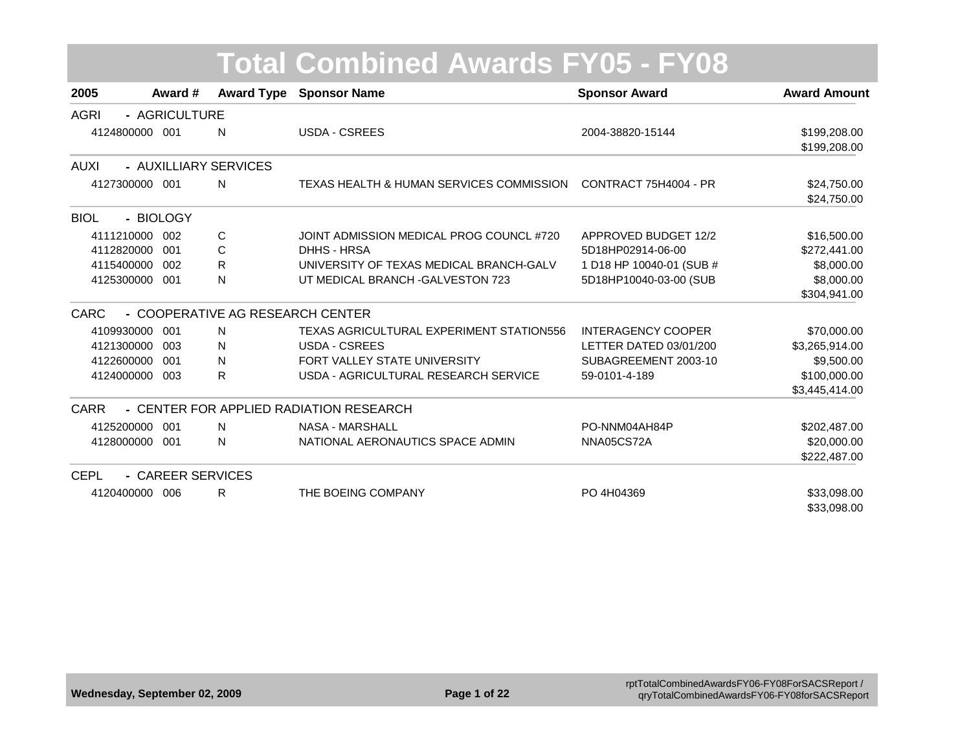| 2005           | Award #           |                                  | <b>Award Type Sponsor Name</b>           | <b>Sponsor Award</b>      | <b>Award Amount</b> |
|----------------|-------------------|----------------------------------|------------------------------------------|---------------------------|---------------------|
| <b>AGRI</b>    | - AGRICULTURE     |                                  |                                          |                           |                     |
| 4124800000 001 |                   | N                                | <b>USDA - CSREES</b>                     | 2004-38820-15144          | \$199,208.00        |
|                |                   |                                  |                                          |                           | \$199,208.00        |
| AUXI           |                   | - AUXILLIARY SERVICES            |                                          |                           |                     |
| 4127300000 001 |                   | N                                | TEXAS HEALTH & HUMAN SERVICES COMMISSION | CONTRACT 75H4004 - PR     | \$24,750.00         |
|                |                   |                                  |                                          |                           | \$24,750.00         |
| <b>BIOL</b>    | - BIOLOGY         |                                  |                                          |                           |                     |
| 4111210000 002 |                   | С                                | JOINT ADMISSION MEDICAL PROG COUNCL #720 | APPROVED BUDGET 12/2      | \$16,500.00         |
| 4112820000     | 001               | С                                | DHHS - HRSA                              | 5D18HP02914-06-00         | \$272,441.00        |
| 4115400000     | 002               | R                                | UNIVERSITY OF TEXAS MEDICAL BRANCH-GALV  | 1 D18 HP 10040-01 (SUB #  | \$8,000.00          |
| 4125300000 001 |                   | N                                | UT MEDICAL BRANCH - GALVESTON 723        | 5D18HP10040-03-00 (SUB    | \$8,000.00          |
|                |                   |                                  |                                          |                           | \$304,941.00        |
| <b>CARC</b>    |                   | - COOPERATIVE AG RESEARCH CENTER |                                          |                           |                     |
| 4109930000     | 001               | N                                | TEXAS AGRICULTURAL EXPERIMENT STATION556 | <b>INTERAGENCY COOPER</b> | \$70,000.00         |
| 4121300000     | 003               | N                                | <b>USDA - CSREES</b>                     | LETTER DATED 03/01/200    | \$3,265,914.00      |
| 4122600000     | 001               | N                                | FORT VALLEY STATE UNIVERSITY             | SUBAGREEMENT 2003-10      | \$9,500.00          |
| 4124000000 003 |                   | R                                | USDA - AGRICULTURAL RESEARCH SERVICE     | 59-0101-4-189             | \$100,000.00        |
|                |                   |                                  |                                          |                           | \$3,445,414.00      |
| <b>CARR</b>    |                   |                                  | - CENTER FOR APPLIED RADIATION RESEARCH  |                           |                     |
| 4125200000 001 |                   | N                                | <b>NASA - MARSHALL</b>                   | PO-NNM04AH84P             | \$202,487.00        |
| 4128000000 001 |                   | N                                | NATIONAL AERONAUTICS SPACE ADMIN         | NNA05CS72A                | \$20,000.00         |
|                |                   |                                  |                                          |                           | \$222,487.00        |
| <b>CEPL</b>    | - CAREER SERVICES |                                  |                                          |                           |                     |
| 4120400000 006 |                   | R                                | THE BOEING COMPANY                       | PO 4H04369                | \$33,098.00         |
|                |                   |                                  |                                          |                           | \$33,098.00         |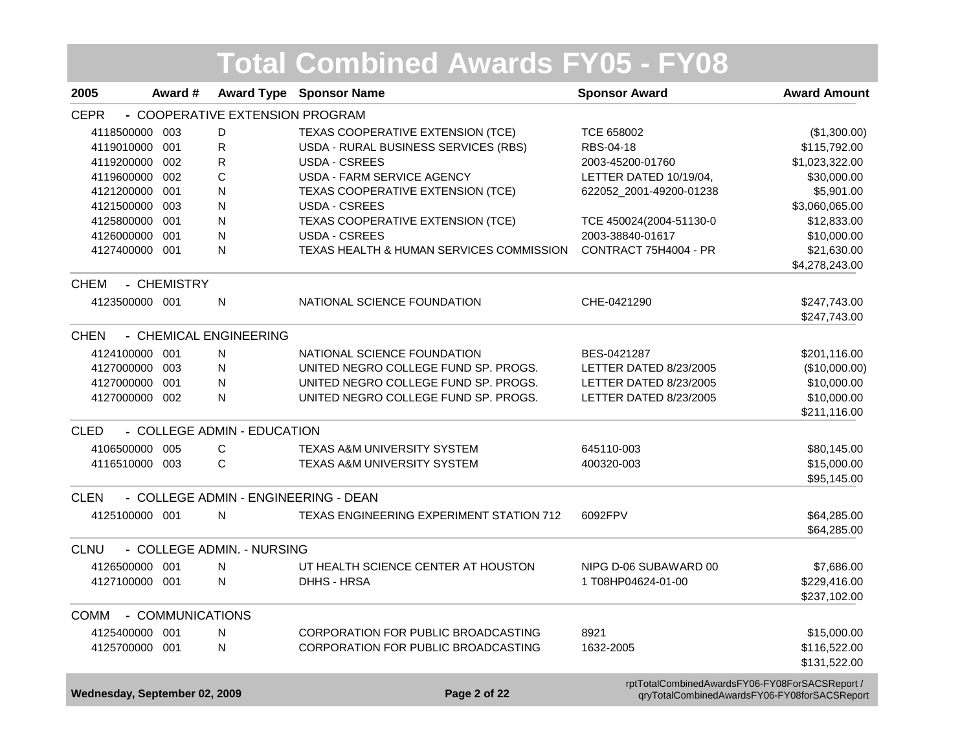|                               |                  |                                 | <b>Total Combined Awards FY05 - FY08</b>        |                                                                                                |                     |
|-------------------------------|------------------|---------------------------------|-------------------------------------------------|------------------------------------------------------------------------------------------------|---------------------|
| 2005                          | Award #          |                                 | <b>Award Type Sponsor Name</b>                  | <b>Sponsor Award</b>                                                                           | <b>Award Amount</b> |
| <b>CEPR</b>                   |                  | - COOPERATIVE EXTENSION PROGRAM |                                                 |                                                                                                |                     |
| 4118500000                    | 003              | D                               | TEXAS COOPERATIVE EXTENSION (TCE)               | TCE 658002                                                                                     | (\$1,300.00)        |
| 4119010000 001                |                  | R                               | USDA - RURAL BUSINESS SERVICES (RBS)            | RBS-04-18                                                                                      | \$115,792.00        |
| 4119200000 002                |                  | R                               | USDA - CSREES                                   | 2003-45200-01760                                                                               | \$1,023,322.00      |
| 4119600000 002                |                  | C                               | <b>USDA - FARM SERVICE AGENCY</b>               | LETTER DATED 10/19/04,                                                                         | \$30,000.00         |
| 4121200000 001                |                  | N                               | TEXAS COOPERATIVE EXTENSION (TCE)               | 622052_2001-49200-01238                                                                        | \$5,901.00          |
| 4121500000 003                |                  | N                               | <b>USDA - CSREES</b>                            |                                                                                                | \$3,060,065.00      |
| 4125800000                    | 001              | N                               | TEXAS COOPERATIVE EXTENSION (TCE)               | TCE 450024(2004-51130-0                                                                        | \$12,833.00         |
| 4126000000                    | 001              | N                               | USDA - CSREES                                   | 2003-38840-01617                                                                               | \$10,000.00         |
| 4127400000 001                |                  | N                               | TEXAS HEALTH & HUMAN SERVICES COMMISSION        | CONTRACT 75H4004 - PR                                                                          | \$21,630.00         |
|                               |                  |                                 |                                                 |                                                                                                | \$4,278,243.00      |
| <b>CHEM</b>                   | - CHEMISTRY      |                                 |                                                 |                                                                                                |                     |
| 4123500000 001                |                  | N                               | NATIONAL SCIENCE FOUNDATION                     | CHE-0421290                                                                                    | \$247,743.00        |
|                               |                  |                                 |                                                 |                                                                                                | \$247,743.00        |
| <b>CHEN</b>                   |                  | - CHEMICAL ENGINEERING          |                                                 |                                                                                                |                     |
| 4124100000 001                |                  | N                               | NATIONAL SCIENCE FOUNDATION                     | BES-0421287                                                                                    | \$201,116.00        |
| 4127000000 003                |                  | N                               | UNITED NEGRO COLLEGE FUND SP. PROGS.            | LETTER DATED 8/23/2005                                                                         | (\$10,000.00)       |
| 4127000000 001                |                  | N                               | UNITED NEGRO COLLEGE FUND SP. PROGS.            | LETTER DATED 8/23/2005                                                                         | \$10,000.00         |
| 4127000000 002                |                  | N                               | UNITED NEGRO COLLEGE FUND SP. PROGS.            | LETTER DATED 8/23/2005                                                                         | \$10,000.00         |
|                               |                  |                                 |                                                 |                                                                                                | \$211,116.00        |
| <b>CLED</b>                   |                  | - COLLEGE ADMIN - EDUCATION     |                                                 |                                                                                                |                     |
| 4106500000 005                |                  | C                               | <b>TEXAS A&amp;M UNIVERSITY SYSTEM</b>          | 645110-003                                                                                     | \$80,145.00         |
| 4116510000 003                |                  | C                               | TEXAS A&M UNIVERSITY SYSTEM                     | 400320-003                                                                                     | \$15,000.00         |
|                               |                  |                                 |                                                 |                                                                                                | \$95,145.00         |
| <b>CLEN</b>                   |                  |                                 | - COLLEGE ADMIN - ENGINEERING - DEAN            |                                                                                                |                     |
| 4125100000 001                |                  | N                               | <b>TEXAS ENGINEERING EXPERIMENT STATION 712</b> | 6092FPV                                                                                        | \$64,285.00         |
|                               |                  |                                 |                                                 |                                                                                                | \$64,285.00         |
| <b>CLNU</b>                   |                  | - COLLEGE ADMIN. - NURSING      |                                                 |                                                                                                |                     |
| 4126500000 001                |                  | N                               | UT HEALTH SCIENCE CENTER AT HOUSTON             | NIPG D-06 SUBAWARD 00                                                                          | \$7,686.00          |
| 4127100000 001                |                  | N                               | DHHS - HRSA                                     | 1 T08HP04624-01-00                                                                             | \$229,416.00        |
|                               |                  |                                 |                                                 |                                                                                                | \$237,102.00        |
| <b>COMM</b>                   | - COMMUNICATIONS |                                 |                                                 |                                                                                                |                     |
| 4125400000 001                |                  | N                               | CORPORATION FOR PUBLIC BROADCASTING             | 8921                                                                                           | \$15,000.00         |
| 4125700000 001                |                  | N                               | CORPORATION FOR PUBLIC BROADCASTING             | 1632-2005                                                                                      | \$116,522.00        |
|                               |                  |                                 |                                                 |                                                                                                | \$131,522.00        |
| Wednesday, September 02, 2009 |                  |                                 | Page 2 of 22                                    | rptTotalCombinedAwardsFY06-FY08ForSACSReport /<br>qryTotalCombinedAwardsFY06-FY08forSACSReport |                     |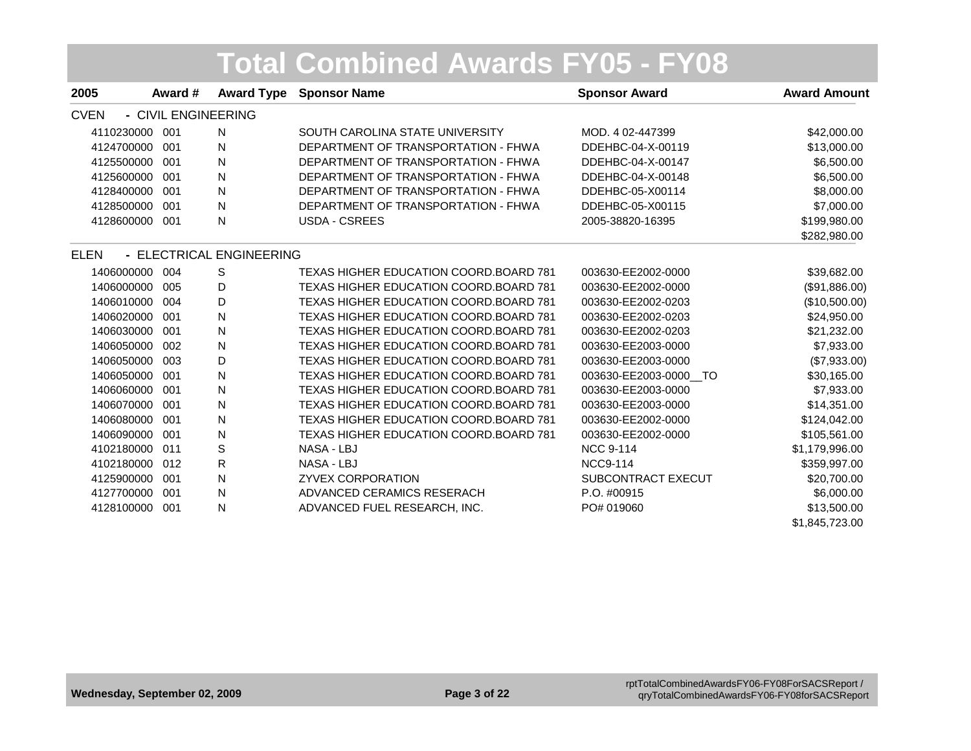|             |                     |                          | <b>Total Combined Awards FY05 - FY08</b>      |                       |                     |
|-------------|---------------------|--------------------------|-----------------------------------------------|-----------------------|---------------------|
| 2005        | Award #             | <b>Award Type</b>        | <b>Sponsor Name</b>                           | <b>Sponsor Award</b>  | <b>Award Amount</b> |
| <b>CVEN</b> | - CIVIL ENGINEERING |                          |                                               |                       |                     |
| 4110230000  | 001                 | $\mathsf{N}$             | SOUTH CAROLINA STATE UNIVERSITY               | MOD. 4 02-447399      | \$42,000.00         |
| 4124700000  | 001                 | N                        | DEPARTMENT OF TRANSPORTATION - FHWA           | DDEHBC-04-X-00119     | \$13,000.00         |
| 4125500000  | 001                 | N                        | DEPARTMENT OF TRANSPORTATION - FHWA           | DDEHBC-04-X-00147     | \$6,500.00          |
| 4125600000  | 001                 | N                        | DEPARTMENT OF TRANSPORTATION - FHWA           | DDEHBC-04-X-00148     | \$6,500.00          |
| 4128400000  | 001                 | N                        | DEPARTMENT OF TRANSPORTATION - FHWA           | DDEHBC-05-X00114      | \$8,000.00          |
| 4128500000  | 001                 | $\mathsf{N}$             | DEPARTMENT OF TRANSPORTATION - FHWA           | DDEHBC-05-X00115      | \$7,000.00          |
| 4128600000  | 001                 | ${\sf N}$                | <b>USDA - CSREES</b>                          | 2005-38820-16395      | \$199,980.00        |
|             |                     |                          |                                               |                       | \$282,980.00        |
| <b>ELEN</b> |                     | - ELECTRICAL ENGINEERING |                                               |                       |                     |
| 1406000000  | 004                 | S                        | TEXAS HIGHER EDUCATION COORD.BOARD 781        | 003630-EE2002-0000    | \$39,682.00         |
| 1406000000  | 005                 | D                        | TEXAS HIGHER EDUCATION COORD.BOARD 781        | 003630-EE2002-0000    | (\$91,886.00)       |
| 1406010000  | 004                 | D                        | TEXAS HIGHER EDUCATION COORD.BOARD 781        | 003630-EE2002-0203    | (\$10,500.00)       |
| 1406020000  | 001                 | ${\sf N}$                | TEXAS HIGHER EDUCATION COORD.BOARD 781        | 003630-EE2002-0203    | \$24,950.00         |
| 1406030000  | 001                 | N                        | TEXAS HIGHER EDUCATION COORD.BOARD 781        | 003630-EE2002-0203    | \$21,232.00         |
| 1406050000  | 002                 | N                        | <b>TEXAS HIGHER EDUCATION COORD.BOARD 781</b> | 003630-EE2003-0000    | \$7,933.00          |
| 1406050000  | 003                 | D                        | TEXAS HIGHER EDUCATION COORD.BOARD 781        | 003630-EE2003-0000    | (\$7,933.00)        |
| 1406050000  | 001                 | N                        | <b>TEXAS HIGHER EDUCATION COORD BOARD 781</b> | 003630-EE2003-0000 TO | \$30,165.00         |
| 1406060000  | 001                 | N                        | TEXAS HIGHER EDUCATION COORD.BOARD 781        | 003630-EE2003-0000    | \$7,933.00          |
| 1406070000  | 001                 | N                        | TEXAS HIGHER EDUCATION COORD.BOARD 781        | 003630-EE2003-0000    | \$14,351.00         |
| 1406080000  | 001                 | $\mathsf{N}$             | TEXAS HIGHER EDUCATION COORD.BOARD 781        | 003630-EE2002-0000    | \$124,042.00        |
| 1406090000  | 001                 | N                        | <b>TEXAS HIGHER EDUCATION COORD.BOARD 781</b> | 003630-EE2002-0000    | \$105,561.00        |
| 4102180000  | 011                 | $\mathbb S$              | NASA - LBJ                                    | <b>NCC 9-114</b>      | \$1,179,996.00      |
| 4102180000  | 012                 | R                        | NASA - LBJ                                    | <b>NCC9-114</b>       | \$359,997.00        |
| 4125900000  | 001                 | $\mathsf{N}$             | <b>ZYVEX CORPORATION</b>                      | SUBCONTRACT EXECUT    | \$20,700.00         |
| 4127700000  | 001                 | N                        | ADVANCED CERAMICS RESERACH                    | P.O. #00915           | \$6,000.00          |
| 4128100000  | 001                 | N                        | ADVANCED FUEL RESEARCH, INC.                  | PO# 019060            | \$13,500.00         |
|             |                     |                          |                                               |                       | \$1,845,723.00      |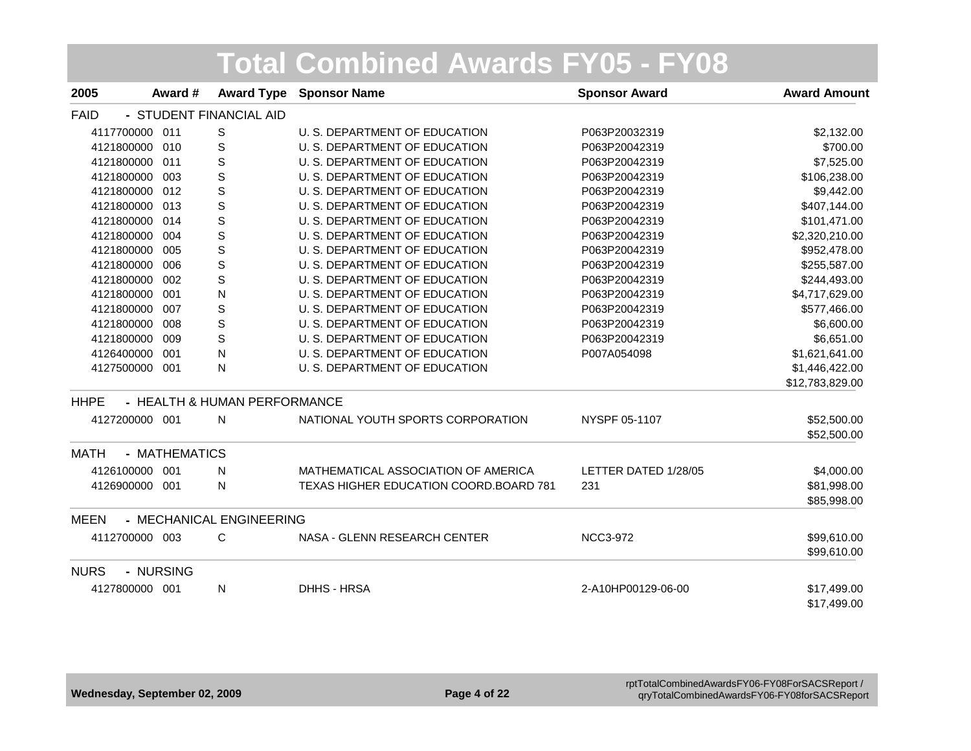| 2005           | Award #       | <b>Award Type</b>            | <b>Sponsor Name</b>                           | <b>Sponsor Award</b> | <b>Award Amount</b> |
|----------------|---------------|------------------------------|-----------------------------------------------|----------------------|---------------------|
| <b>FAID</b>    |               | - STUDENT FINANCIAL AID      |                                               |                      |                     |
| 4117700000     | 011           | S                            | U. S. DEPARTMENT OF EDUCATION                 | P063P20032319        | \$2,132.00          |
| 4121800000     | 010           | S                            | U. S. DEPARTMENT OF EDUCATION                 | P063P20042319        | \$700.00            |
| 4121800000     | 011           | S                            | U. S. DEPARTMENT OF EDUCATION                 | P063P20042319        | \$7,525.00          |
| 4121800000     | 003           | $\mathbb S$                  | U. S. DEPARTMENT OF EDUCATION                 | P063P20042319        | \$106,238.00        |
| 4121800000 012 |               | $\mathbf S$                  | U. S. DEPARTMENT OF EDUCATION                 | P063P20042319        | \$9,442.00          |
| 4121800000 013 |               | $\mathbb S$                  | U. S. DEPARTMENT OF EDUCATION                 | P063P20042319        | \$407,144.00        |
| 4121800000     | 014           | S                            | U. S. DEPARTMENT OF EDUCATION                 | P063P20042319        | \$101,471.00        |
| 4121800000     | 004           | $\mathbb S$                  | U. S. DEPARTMENT OF EDUCATION                 | P063P20042319        | \$2,320,210.00      |
| 4121800000     | 005           | $\mathbb S$                  | U. S. DEPARTMENT OF EDUCATION                 | P063P20042319        | \$952,478.00        |
| 4121800000     | 006           | $\mathbb S$                  | U. S. DEPARTMENT OF EDUCATION                 | P063P20042319        | \$255,587.00        |
| 4121800000     | 002           | $\mathbb S$                  | U. S. DEPARTMENT OF EDUCATION                 | P063P20042319        | \$244,493.00        |
| 4121800000     | 001           | N                            | U. S. DEPARTMENT OF EDUCATION                 | P063P20042319        | \$4,717,629.00      |
| 4121800000     | 007           | $\mathbb S$                  | U. S. DEPARTMENT OF EDUCATION                 | P063P20042319        | \$577,466.00        |
| 4121800000     | 008           | $\mathbb S$                  | U. S. DEPARTMENT OF EDUCATION                 | P063P20042319        | \$6,600.00          |
| 4121800000     | 009           | $\mathsf S$                  | U. S. DEPARTMENT OF EDUCATION                 | P063P20042319        | \$6,651.00          |
| 4126400000     | 001           | N                            | U. S. DEPARTMENT OF EDUCATION                 | P007A054098          | \$1,621,641.00      |
| 4127500000 001 |               | N                            | U. S. DEPARTMENT OF EDUCATION                 |                      | \$1,446,422.00      |
|                |               |                              |                                               |                      | \$12,783,829.00     |
| <b>HHPE</b>    |               | - HEALTH & HUMAN PERFORMANCE |                                               |                      |                     |
| 4127200000 001 |               | N                            | NATIONAL YOUTH SPORTS CORPORATION             | NYSPF 05-1107        | \$52,500.00         |
|                |               |                              |                                               |                      | \$52,500.00         |
| <b>MATH</b>    | - MATHEMATICS |                              |                                               |                      |                     |
| 4126100000 001 |               | N                            | MATHEMATICAL ASSOCIATION OF AMERICA           | LETTER DATED 1/28/05 | \$4,000.00          |
| 4126900000 001 |               | N                            | <b>TEXAS HIGHER EDUCATION COORD BOARD 781</b> | 231                  | \$81,998.00         |
|                |               |                              |                                               |                      | \$85,998.00         |
| <b>MEEN</b>    |               | - MECHANICAL ENGINEERING     |                                               |                      |                     |
| 4112700000 003 |               | C                            | NASA - GLENN RESEARCH CENTER                  | <b>NCC3-972</b>      | \$99,610.00         |
|                |               |                              |                                               |                      | \$99,610.00         |
| <b>NURS</b>    | - NURSING     |                              |                                               |                      |                     |
| 4127800000 001 |               | N                            | DHHS - HRSA                                   | 2-A10HP00129-06-00   | \$17,499.00         |
|                |               |                              |                                               |                      | \$17,499.00         |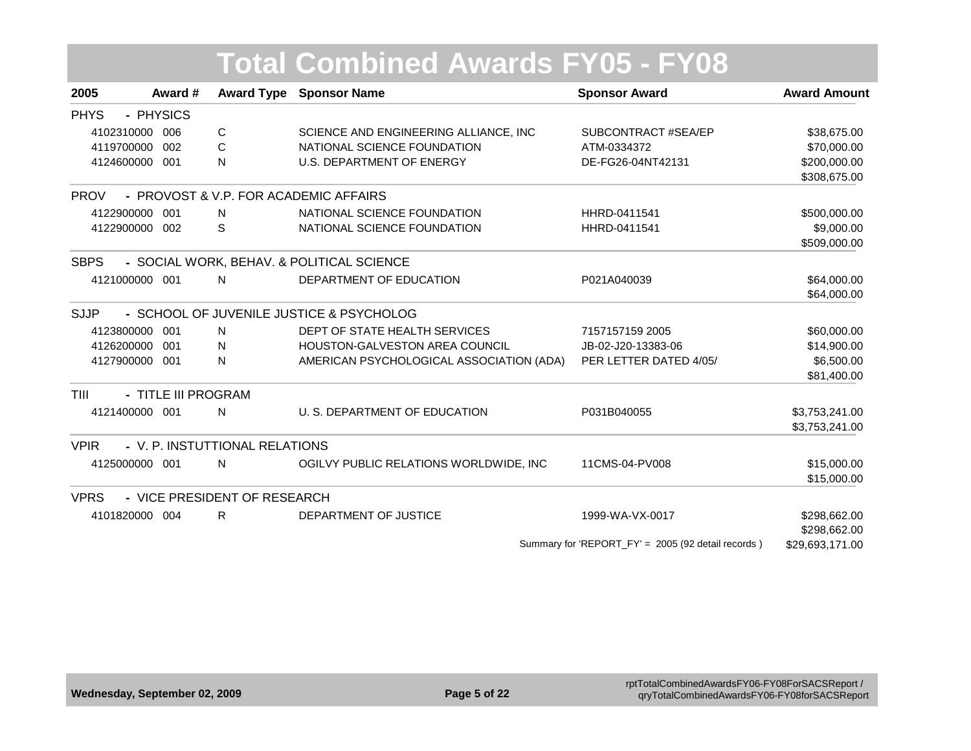#### **Award # Award Type Sponsor Name Sponsor Award Award Amount Total Combined Awards FY05 - FY08** PHYS PHYSICS **-** 4102310000 006 CC SCIENCE AND ENGINEERING ALLIANCE, INC SUBCONTRACT #SEA/EP \$38,675.00 4119700000 002 CC NATIONAL SCIENCE FOUNDATION ATM-0334372 570,000.00

|                |                     |   |                                           |                        | ,,,,,,,,,,     |
|----------------|---------------------|---|-------------------------------------------|------------------------|----------------|
| 4124600000 001 |                     | N | U.S. DEPARTMENT OF ENERGY                 | DE-FG26-04NT42131      | \$200,000.00   |
|                |                     |   |                                           |                        | \$308,675.00   |
| <b>PROV</b>    |                     |   | - PROVOST & V.P. FOR ACADEMIC AFFAIRS     |                        |                |
| 4122900000 001 |                     | N | NATIONAL SCIENCE FOUNDATION               | HHRD-0411541           | \$500,000.00   |
| 4122900000 002 |                     | S | NATIONAL SCIENCE FOUNDATION               | HHRD-0411541           | \$9,000.00     |
|                |                     |   |                                           |                        | \$509,000.00   |
| <b>SBPS</b>    |                     |   | - SOCIAL WORK, BEHAV. & POLITICAL SCIENCE |                        |                |
| 4121000000 001 |                     | N | DEPARTMENT OF EDUCATION                   | P021A040039            | \$64,000.00    |
|                |                     |   |                                           |                        | \$64,000.00    |
| SJJP           |                     |   | - SCHOOL OF JUVENILE JUSTICE & PSYCHOLOG  |                        |                |
| 4123800000 001 |                     | N | DEPT OF STATE HEALTH SERVICES             | 7157157159 2005        | \$60,000.00    |
| 4126200000 001 |                     | N | <b>HOUSTON-GALVESTON AREA COUNCIL</b>     | JB-02-J20-13383-06     | \$14,900.00    |
| 4127900000 001 |                     | N | AMERICAN PSYCHOLOGICAL ASSOCIATION (ADA)  | PER LETTER DATED 4/05/ | \$6,500.00     |
|                |                     |   |                                           |                        | \$81,400.00    |
| TIII           | - TITLE III PROGRAM |   |                                           |                        |                |
| 4121400000 001 |                     | N | U. S. DEPARTMENT OF EDUCATION             | P031B040055            | \$3,753,241.00 |
|                |                     |   |                                           |                        | \$3,753,241.00 |
| <b>VPIR</b>    |                     |   | - V. P. INSTUTTIONAL RELATIONS            |                        |                |
| 4125000000 001 |                     | N | OGILVY PUBLIC RELATIONS WORLDWIDE, INC    | 11CMS-04-PV008         | \$15,000.00    |
|                |                     |   |                                           |                        | \$15,000.00    |
| <b>VPRS</b>    |                     |   | - VICE PRESIDENT OF RESEARCH              |                        |                |
| 4101820000 004 |                     | R | DEPARTMENT OF JUSTICE                     | 1999-WA-VX-0017        | \$298,662.00   |
|                |                     |   |                                           |                        | \$298,662.00   |
|                |                     |   |                                           |                        |                |

Summary for 'REPORT\_FY' = 2005 (92 detail records ) \$29,693,171.00

**2005**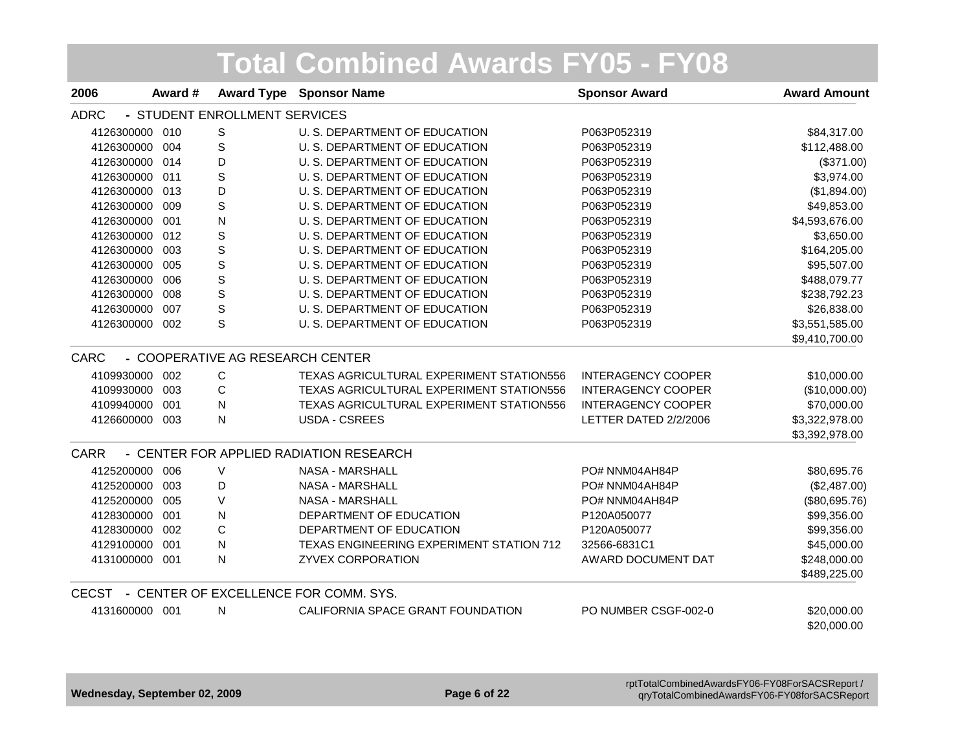| 2006           | Award # |                               | <b>Award Type Sponsor Name</b>                  | <b>Sponsor Award</b>      | <b>Award Amount</b> |
|----------------|---------|-------------------------------|-------------------------------------------------|---------------------------|---------------------|
| <b>ADRC</b>    |         | - STUDENT ENROLLMENT SERVICES |                                                 |                           |                     |
| 4126300000     | 010     | S                             | U. S. DEPARTMENT OF EDUCATION                   | P063P052319               | \$84,317.00         |
| 4126300000     | 004     | S                             | U. S. DEPARTMENT OF EDUCATION                   | P063P052319               | \$112,488.00        |
| 4126300000     | 014     | D                             | U. S. DEPARTMENT OF EDUCATION                   | P063P052319               | (\$371.00)          |
| 4126300000     | 011     | S                             | U. S. DEPARTMENT OF EDUCATION                   | P063P052319               | \$3,974.00          |
| 4126300000     | 013     | D                             | U. S. DEPARTMENT OF EDUCATION                   | P063P052319               | (\$1,894.00)        |
| 4126300000     | 009     | S                             | U. S. DEPARTMENT OF EDUCATION                   | P063P052319               | \$49,853.00         |
| 4126300000     | 001     | N                             | U. S. DEPARTMENT OF EDUCATION                   | P063P052319               | \$4,593,676.00      |
| 4126300000     | 012     | $\mathbb S$                   | U. S. DEPARTMENT OF EDUCATION                   | P063P052319               | \$3,650.00          |
| 4126300000     | 003     | S                             | U. S. DEPARTMENT OF EDUCATION                   | P063P052319               | \$164,205.00        |
| 4126300000     | 005     | $\mathbb S$                   | U. S. DEPARTMENT OF EDUCATION                   | P063P052319               | \$95,507.00         |
| 4126300000     | 006     | $\mathbb S$                   | U. S. DEPARTMENT OF EDUCATION                   | P063P052319               | \$488,079.77        |
| 4126300000     | 008     | S                             | U. S. DEPARTMENT OF EDUCATION                   | P063P052319               | \$238,792.23        |
| 4126300000     | 007     | S                             | U. S. DEPARTMENT OF EDUCATION                   | P063P052319               | \$26,838.00         |
| 4126300000 002 |         | S                             | U. S. DEPARTMENT OF EDUCATION                   | P063P052319               | \$3,551,585.00      |
|                |         |                               |                                                 |                           | \$9,410,700.00      |
| CARC           |         |                               | - COOPERATIVE AG RESEARCH CENTER                |                           |                     |
| 4109930000     | 002     | C                             | TEXAS AGRICULTURAL EXPERIMENT STATION556        | <b>INTERAGENCY COOPER</b> | \$10,000.00         |
| 4109930000     | 003     | C                             | TEXAS AGRICULTURAL EXPERIMENT STATION556        | <b>INTERAGENCY COOPER</b> | (\$10,000.00)       |
| 4109940000     | 001     | N                             | TEXAS AGRICULTURAL EXPERIMENT STATION556        | <b>INTERAGENCY COOPER</b> | \$70,000.00         |
| 4126600000 003 |         | N                             | <b>USDA - CSREES</b>                            | LETTER DATED 2/2/2006     | \$3,322,978.00      |
|                |         |                               |                                                 |                           | \$3,392,978.00      |
| <b>CARR</b>    |         |                               | - CENTER FOR APPLIED RADIATION RESEARCH         |                           |                     |
| 4125200000     | 006     | $\vee$                        | <b>NASA - MARSHALL</b>                          | PO# NNM04AH84P            | \$80,695.76         |
| 4125200000     | 003     | D                             | <b>NASA - MARSHALL</b>                          | PO# NNM04AH84P            | (\$2,487.00)        |
| 4125200000     | 005     | V                             | <b>NASA - MARSHALL</b>                          | PO# NNM04AH84P            | (\$80,695.76)       |
| 4128300000     | 001     | ${\sf N}$                     | DEPARTMENT OF EDUCATION                         | P120A050077               | \$99,356.00         |
| 4128300000     | 002     | $\mathsf C$                   | DEPARTMENT OF EDUCATION                         | P120A050077               | \$99,356.00         |
| 4129100000     | 001     | $\mathsf{N}$                  | <b>TEXAS ENGINEERING EXPERIMENT STATION 712</b> | 32566-6831C1              | \$45,000.00         |
| 4131000000 001 |         | $\mathsf{N}$                  | <b>ZYVEX CORPORATION</b>                        | AWARD DOCUMENT DAT        | \$248,000.00        |
|                |         |                               |                                                 |                           | \$489,225.00        |
|                |         |                               | CECST - CENTER OF EXCELLENCE FOR COMM. SYS.     |                           |                     |
| 4131600000 001 |         | N                             | CALIFORNIA SPACE GRANT FOUNDATION               | PO NUMBER CSGF-002-0      | \$20,000.00         |
|                |         |                               |                                                 |                           | \$20,000.00         |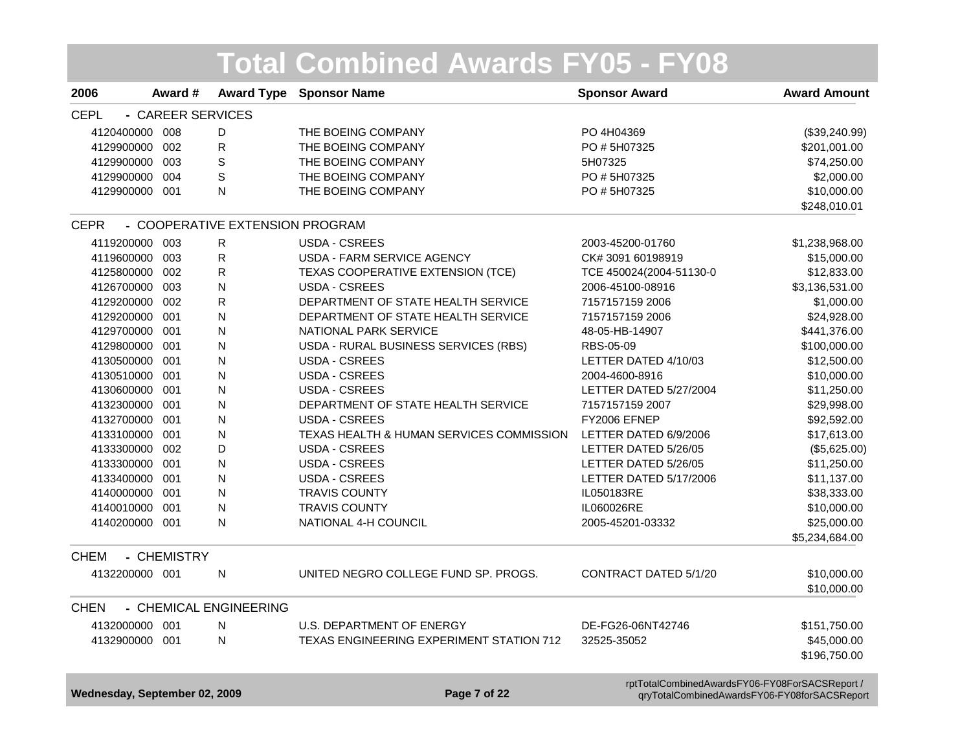|                               |                   |                                 | <b>Total Combined Awards FY05 - FY08</b> |                                                                                                |                             |
|-------------------------------|-------------------|---------------------------------|------------------------------------------|------------------------------------------------------------------------------------------------|-----------------------------|
| 2006                          | Award #           | <b>Award Type</b>               | <b>Sponsor Name</b>                      | <b>Sponsor Award</b>                                                                           | <b>Award Amount</b>         |
| <b>CEPL</b>                   | - CAREER SERVICES |                                 |                                          |                                                                                                |                             |
| 4120400000 008                |                   | D                               | THE BOEING COMPANY                       | PO 4H04369                                                                                     | (\$39,240.99)               |
| 4129900000 002                |                   | R                               | THE BOEING COMPANY                       | PO #5H07325                                                                                    | \$201,001.00                |
| 4129900000 003                |                   | S                               | THE BOEING COMPANY                       | 5H07325                                                                                        | \$74,250.00                 |
| 4129900000 004                |                   | S                               | THE BOEING COMPANY                       | PO #5H07325                                                                                    | \$2,000.00                  |
| 4129900000 001                |                   | N                               | THE BOEING COMPANY                       | PO #5H07325                                                                                    | \$10,000.00<br>\$248,010.01 |
| <b>CEPR</b>                   |                   | - COOPERATIVE EXTENSION PROGRAM |                                          |                                                                                                |                             |
| 4119200000 003                |                   | R                               | <b>USDA - CSREES</b>                     | 2003-45200-01760                                                                               | \$1,238,968.00              |
| 4119600000 003                |                   | $\mathsf{R}$                    | USDA - FARM SERVICE AGENCY               | CK# 3091 60198919                                                                              | \$15,000.00                 |
| 4125800000 002                |                   | $\mathsf R$                     | TEXAS COOPERATIVE EXTENSION (TCE)        | TCE 450024(2004-51130-0                                                                        | \$12,833.00                 |
| 4126700000 003                |                   | N                               | <b>USDA - CSREES</b>                     | 2006-45100-08916                                                                               | \$3,136,531.00              |
| 4129200000 002                |                   | $\mathsf R$                     | DEPARTMENT OF STATE HEALTH SERVICE       | 7157157159 2006                                                                                | \$1,000.00                  |
| 4129200000 001                |                   | N                               | DEPARTMENT OF STATE HEALTH SERVICE       | 7157157159 2006                                                                                | \$24,928.00                 |
| 4129700000 001                |                   | N                               | NATIONAL PARK SERVICE                    | 48-05-HB-14907                                                                                 | \$441,376.00                |
| 4129800000 001                |                   | N                               | USDA - RURAL BUSINESS SERVICES (RBS)     | RBS-05-09                                                                                      | \$100,000.00                |
| 4130500000 001                |                   | N                               | <b>USDA - CSREES</b>                     | LETTER DATED 4/10/03                                                                           | \$12,500.00                 |
| 4130510000 001                |                   | N                               | <b>USDA - CSREES</b>                     | 2004-4600-8916                                                                                 | \$10,000.00                 |
| 4130600000 001                |                   | N                               | <b>USDA - CSREES</b>                     | LETTER DATED 5/27/2004                                                                         | \$11,250.00                 |
| 4132300000 001                |                   | N                               | DEPARTMENT OF STATE HEALTH SERVICE       | 7157157159 2007                                                                                | \$29,998.00                 |
| 4132700000 001                |                   | N                               | <b>USDA - CSREES</b>                     | FY2006 EFNEP                                                                                   | \$92,592.00                 |
| 4133100000 001                |                   | N                               | TEXAS HEALTH & HUMAN SERVICES COMMISSION | LETTER DATED 6/9/2006                                                                          | \$17,613.00                 |
| 4133300000 002                |                   | D                               | <b>USDA - CSREES</b>                     | LETTER DATED 5/26/05                                                                           | (\$5,625.00)                |
| 4133300000 001                |                   | N                               | <b>USDA - CSREES</b>                     | LETTER DATED 5/26/05                                                                           | \$11,250.00                 |
| 4133400000 001                |                   | N                               | <b>USDA - CSREES</b>                     | LETTER DATED 5/17/2006                                                                         | \$11,137.00                 |
| 4140000000 001                |                   | N                               | <b>TRAVIS COUNTY</b>                     | IL050183RE                                                                                     | \$38,333.00                 |
| 4140010000 001                |                   | N                               | <b>TRAVIS COUNTY</b>                     | IL060026RE                                                                                     | \$10,000.00                 |
| 4140200000 001                |                   | N                               | NATIONAL 4-H COUNCIL                     | 2005-45201-03332                                                                               | \$25,000.00                 |
|                               |                   |                                 |                                          |                                                                                                | \$5,234,684.00              |
| <b>CHEM</b>                   | - CHEMISTRY       |                                 |                                          |                                                                                                |                             |
| 4132200000 001                |                   | N                               | UNITED NEGRO COLLEGE FUND SP. PROGS.     | CONTRACT DATED 5/1/20                                                                          | \$10,000.00<br>\$10,000.00  |
| <b>CHEN</b>                   |                   | - CHEMICAL ENGINEERING          |                                          |                                                                                                |                             |
| 4132000000 001                |                   | N                               | U.S. DEPARTMENT OF ENERGY                | DE-FG26-06NT42746                                                                              | \$151,750.00                |
| 4132900000 001                |                   | $\mathsf{N}$                    | TEXAS ENGINEERING EXPERIMENT STATION 712 | 32525-35052                                                                                    | \$45,000.00                 |
|                               |                   |                                 |                                          |                                                                                                | \$196,750.00                |
| Wednesday, September 02, 2009 |                   |                                 | Page 7 of 22                             | rptTotalCombinedAwardsFY06-FY08ForSACSReport /<br>qryTotalCombinedAwardsFY06-FY08forSACSReport |                             |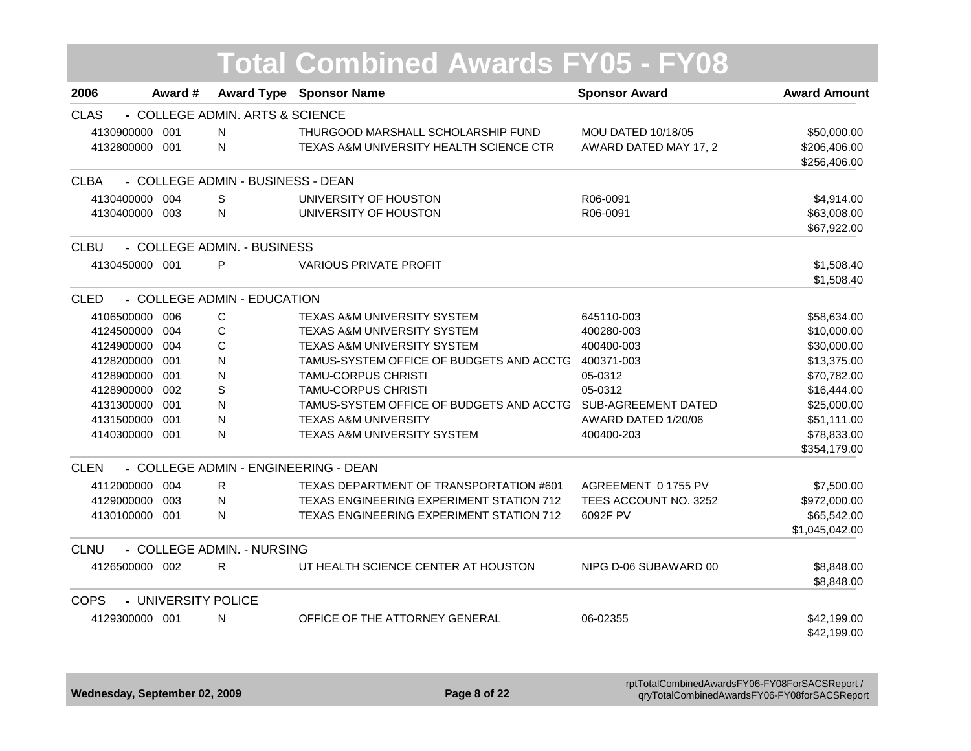| 2006           | Award #             |                                   | <b>Award Type Sponsor Name</b>           | <b>Sponsor Award</b>       | <b>Award Amount</b> |
|----------------|---------------------|-----------------------------------|------------------------------------------|----------------------------|---------------------|
| <b>CLAS</b>    |                     | - COLLEGE ADMIN. ARTS & SCIENCE   |                                          |                            |                     |
| 4130900000 001 |                     | N                                 | THURGOOD MARSHALL SCHOLARSHIP FUND       | <b>MOU DATED 10/18/05</b>  | \$50,000.00         |
| 4132800000 001 |                     | N                                 | TEXAS A&M UNIVERSITY HEALTH SCIENCE CTR  | AWARD DATED MAY 17, 2      | \$206,406.00        |
|                |                     |                                   |                                          |                            | \$256,406.00        |
| <b>CLBA</b>    |                     | - COLLEGE ADMIN - BUSINESS - DEAN |                                          |                            |                     |
| 4130400000 004 |                     | S                                 | UNIVERSITY OF HOUSTON                    | R06-0091                   | \$4,914.00          |
| 4130400000 003 |                     | N                                 | UNIVERSITY OF HOUSTON                    | R06-0091                   | \$63,008.00         |
|                |                     |                                   |                                          |                            | \$67,922.00         |
| <b>CLBU</b>    |                     | - COLLEGE ADMIN. - BUSINESS       |                                          |                            |                     |
| 4130450000 001 |                     | P                                 | <b>VARIOUS PRIVATE PROFIT</b>            |                            | \$1,508.40          |
|                |                     |                                   |                                          |                            | \$1,508.40          |
| <b>CLED</b>    |                     | - COLLEGE ADMIN - EDUCATION       |                                          |                            |                     |
| 4106500000 006 |                     | С                                 | TEXAS A&M UNIVERSITY SYSTEM              | 645110-003                 | \$58,634.00         |
| 4124500000 004 |                     | C                                 | TEXAS A&M UNIVERSITY SYSTEM              | 400280-003                 | \$10,000.00         |
| 4124900000 004 |                     | С                                 | <b>TEXAS A&amp;M UNIVERSITY SYSTEM</b>   | 400400-003                 | \$30,000.00         |
| 4128200000 001 |                     | N                                 | TAMUS-SYSTEM OFFICE OF BUDGETS AND ACCTG | 400371-003                 | \$13,375.00         |
| 4128900000 001 |                     | N                                 | <b>TAMU-CORPUS CHRISTI</b>               | 05-0312                    | \$70,782.00         |
| 4128900000 002 |                     | S                                 | <b>TAMU-CORPUS CHRISTI</b>               | 05-0312                    | \$16,444.00         |
| 4131300000 001 |                     | N                                 | TAMUS-SYSTEM OFFICE OF BUDGETS AND ACCTG | <b>SUB-AGREEMENT DATED</b> | \$25,000.00         |
| 4131500000     | 001                 | N                                 | <b>TEXAS A&amp;M UNIVERSITY</b>          | AWARD DATED 1/20/06        | \$51,111.00         |
| 4140300000 001 |                     | N                                 | TEXAS A&M UNIVERSITY SYSTEM              | 400400-203                 | \$78,833.00         |
|                |                     |                                   |                                          |                            | \$354,179.00        |
| <b>CLEN</b>    |                     |                                   | - COLLEGE ADMIN - ENGINEERING - DEAN     |                            |                     |
| 4112000000     | 004                 | R                                 | TEXAS DEPARTMENT OF TRANSPORTATION #601  | AGREEMENT 0 1755 PV        | \$7,500.00          |
| 4129000000     | 003                 | N                                 | TEXAS ENGINEERING EXPERIMENT STATION 712 | TEES ACCOUNT NO. 3252      | \$972,000.00        |
| 4130100000 001 |                     | N                                 | TEXAS ENGINEERING EXPERIMENT STATION 712 | 6092F PV                   | \$65,542.00         |
|                |                     |                                   |                                          |                            | \$1,045,042.00      |
| <b>CLNU</b>    |                     | - COLLEGE ADMIN. - NURSING        |                                          |                            |                     |
| 4126500000 002 |                     | R                                 | UT HEALTH SCIENCE CENTER AT HOUSTON      | NIPG D-06 SUBAWARD 00      | \$8,848.00          |
|                |                     |                                   |                                          |                            | \$8,848.00          |
| <b>COPS</b>    | - UNIVERSITY POLICE |                                   |                                          |                            |                     |
| 4129300000 001 |                     | N                                 | OFFICE OF THE ATTORNEY GENERAL           | 06-02355                   | \$42,199.00         |
|                |                     |                                   |                                          |                            | \$42,199.00         |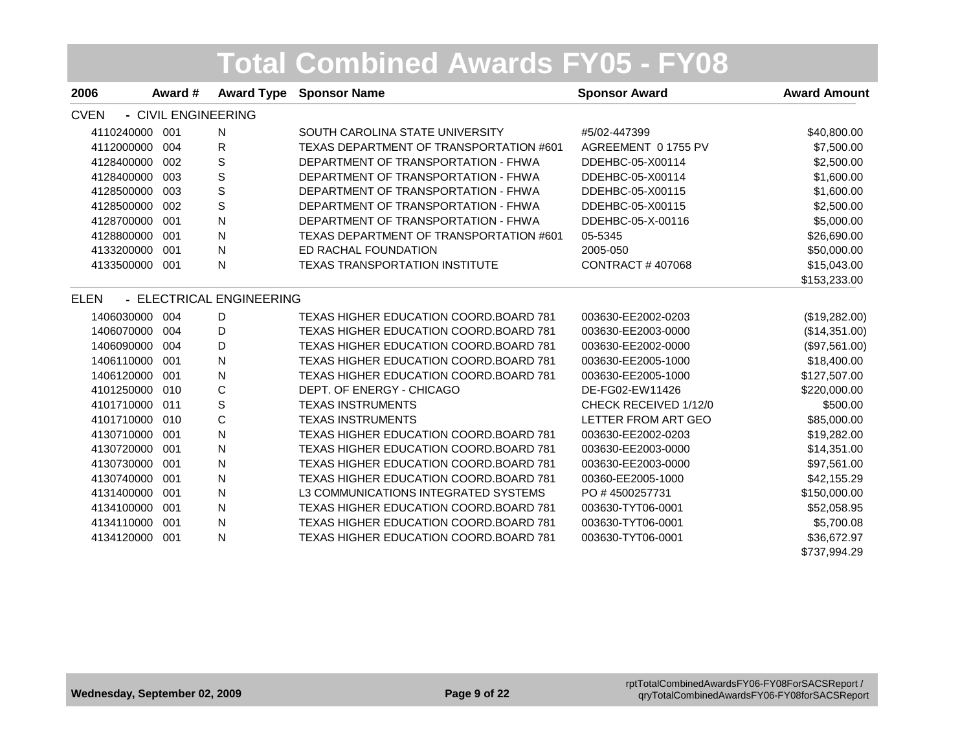| 2006           | Award #             |                          | <b>Award Type Sponsor Name</b>                | <b>Sponsor Award</b>    | <b>Award Amount</b> |
|----------------|---------------------|--------------------------|-----------------------------------------------|-------------------------|---------------------|
| <b>CVEN</b>    | - CIVIL ENGINEERING |                          |                                               |                         |                     |
| 4110240000     | 001                 | N                        | SOUTH CAROLINA STATE UNIVERSITY               | #5/02-447399            | \$40,800.00         |
| 4112000000     | 004                 | R                        | TEXAS DEPARTMENT OF TRANSPORTATION #601       | AGREEMENT 0 1755 PV     | \$7,500.00          |
| 4128400000     | 002                 | S                        | DEPARTMENT OF TRANSPORTATION - FHWA           | DDEHBC-05-X00114        | \$2,500.00          |
| 4128400000     | 003                 | S                        | DEPARTMENT OF TRANSPORTATION - FHWA           | DDEHBC-05-X00114        | \$1,600.00          |
| 4128500000     | 003                 | S                        | DEPARTMENT OF TRANSPORTATION - FHWA           | DDEHBC-05-X00115        | \$1,600.00          |
| 4128500000     | 002                 | S                        | DEPARTMENT OF TRANSPORTATION - FHWA           | DDEHBC-05-X00115        | \$2,500.00          |
| 4128700000     | 001                 | N                        | DEPARTMENT OF TRANSPORTATION - FHWA           | DDEHBC-05-X-00116       | \$5,000.00          |
| 4128800000     | 001                 | N                        | TEXAS DEPARTMENT OF TRANSPORTATION #601       | 05-5345                 | \$26,690.00         |
| 4133200000     | 001                 | N                        | ED RACHAL FOUNDATION                          | 2005-050                | \$50,000.00         |
| 4133500000 001 |                     | N                        | <b>TEXAS TRANSPORTATION INSTITUTE</b>         | <b>CONTRACT #407068</b> | \$15,043.00         |
|                |                     |                          |                                               |                         | \$153,233.00        |
| <b>ELEN</b>    |                     | - ELECTRICAL ENGINEERING |                                               |                         |                     |
| 1406030000     | 004                 | D                        | TEXAS HIGHER EDUCATION COORD.BOARD 781        | 003630-EE2002-0203      | (\$19,282.00)       |
| 1406070000     | 004                 | D                        | TEXAS HIGHER EDUCATION COORD. BOARD 781       | 003630-EE2003-0000      | (\$14,351.00)       |
| 1406090000     | 004                 | D                        | TEXAS HIGHER EDUCATION COORD.BOARD 781        | 003630-EE2002-0000      | (\$97,561.00)       |
| 1406110000     | 001                 | N                        | TEXAS HIGHER EDUCATION COORD.BOARD 781        | 003630-EE2005-1000      | \$18,400.00         |
| 1406120000     | 001                 | N                        | <b>TEXAS HIGHER EDUCATION COORD.BOARD 781</b> | 003630-EE2005-1000      | \$127,507.00        |
| 4101250000     | 010                 | C                        | DEPT. OF ENERGY - CHICAGO                     | DE-FG02-EW11426         | \$220,000.00        |
| 4101710000     | 011                 | S                        | <b>TEXAS INSTRUMENTS</b>                      | CHECK RECEIVED 1/12/0   | \$500.00            |
| 4101710000     | 010                 | $\mathsf C$              | <b>TEXAS INSTRUMENTS</b>                      | LETTER FROM ART GEO     | \$85,000.00         |
| 4130710000     | 001                 | N                        | <b>TEXAS HIGHER EDUCATION COORD.BOARD 781</b> | 003630-EE2002-0203      | \$19,282.00         |
| 4130720000     | 001                 | N                        | TEXAS HIGHER EDUCATION COORD.BOARD 781        | 003630-EE2003-0000      | \$14,351.00         |
| 4130730000     | 001                 | N                        | TEXAS HIGHER EDUCATION COORD.BOARD 781        | 003630-EE2003-0000      | \$97,561.00         |
| 4130740000     | 001                 | N                        | <b>TEXAS HIGHER EDUCATION COORD.BOARD 781</b> | 00360-EE2005-1000       | \$42,155.29         |
| 4131400000     | 001                 | N                        | L3 COMMUNICATIONS INTEGRATED SYSTEMS          | PO #4500257731          | \$150,000.00        |
| 4134100000     | 001                 | N                        | TEXAS HIGHER EDUCATION COORD.BOARD 781        | 003630-TYT06-0001       | \$52,058.95         |
| 4134110000     | 001                 | N                        | TEXAS HIGHER EDUCATION COORD.BOARD 781        | 003630-TYT06-0001       | \$5,700.08          |
| 4134120000     | 001                 | N                        | <b>TEXAS HIGHER EDUCATION COORD.BOARD 781</b> | 003630-TYT06-0001       | \$36,672.97         |
|                |                     |                          |                                               |                         | \$737.994.29        |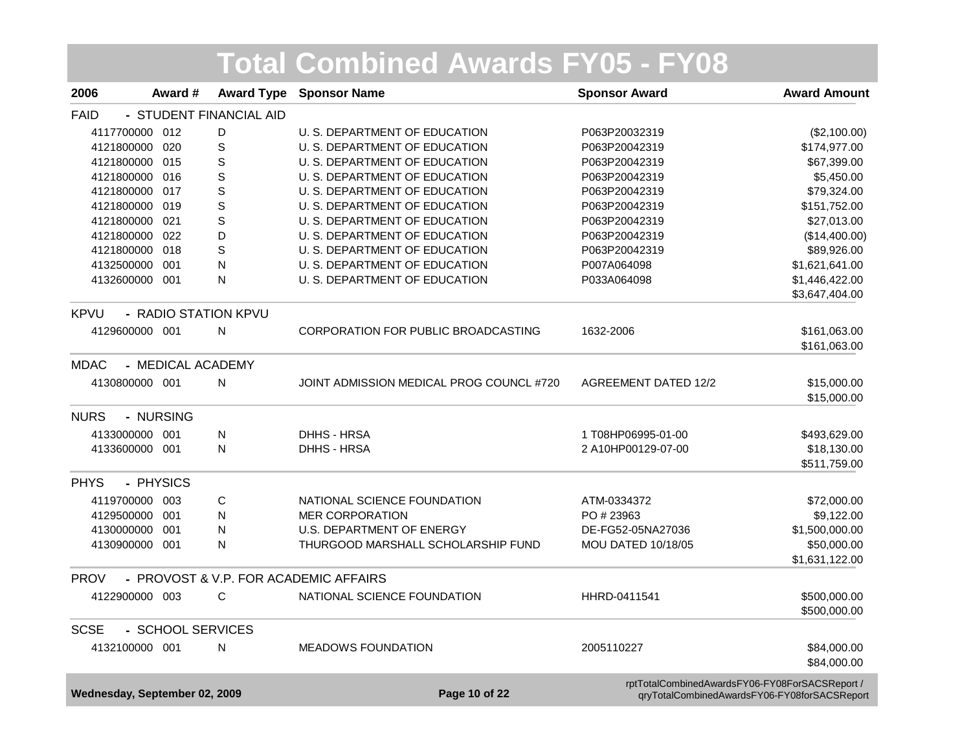| 2006        | Award #                       | <b>Award Type</b>       | <b>Sponsor Name</b>                      | <b>Sponsor Award</b>                           | <b>Award Amount</b>                          |
|-------------|-------------------------------|-------------------------|------------------------------------------|------------------------------------------------|----------------------------------------------|
| <b>FAID</b> |                               | - STUDENT FINANCIAL AID |                                          |                                                |                                              |
|             | 4117700000 012                | D                       | U. S. DEPARTMENT OF EDUCATION            | P063P20032319                                  | (\$2,100.00)                                 |
|             | 4121800000 020                | $\mathbf S$             | U. S. DEPARTMENT OF EDUCATION            | P063P20042319                                  | \$174,977.00                                 |
|             | 4121800000 015                | $\mathbf S$             | U. S. DEPARTMENT OF EDUCATION            | P063P20042319                                  | \$67,399.00                                  |
|             | 4121800000 016                | S                       | U. S. DEPARTMENT OF EDUCATION            | P063P20042319                                  | \$5,450.00                                   |
|             | 4121800000 017                | $\mathbf S$             | U. S. DEPARTMENT OF EDUCATION            | P063P20042319                                  | \$79,324.00                                  |
|             | 4121800000 019                | $\mathbf S$             | U. S. DEPARTMENT OF EDUCATION            | P063P20042319                                  | \$151,752.00                                 |
|             | 4121800000 021                | $\mathbf S$             | U. S. DEPARTMENT OF EDUCATION            | P063P20042319                                  | \$27,013.00                                  |
|             | 4121800000 022                | D                       | U. S. DEPARTMENT OF EDUCATION            | P063P20042319                                  | (\$14,400.00)                                |
|             | 4121800000 018                | S                       | U. S. DEPARTMENT OF EDUCATION            | P063P20042319                                  | \$89,926.00                                  |
| 4132500000  | 001                           | N                       | U. S. DEPARTMENT OF EDUCATION            | P007A064098                                    | \$1,621,641.00                               |
|             | 4132600000 001                | N                       | U. S. DEPARTMENT OF EDUCATION            | P033A064098                                    | \$1,446,422.00                               |
|             |                               |                         |                                          |                                                | \$3,647,404.00                               |
| <b>KPVU</b> | - RADIO STATION KPVU          |                         |                                          |                                                |                                              |
|             | 4129600000 001                | N                       | CORPORATION FOR PUBLIC BROADCASTING      | 1632-2006                                      | \$161,063.00                                 |
|             |                               |                         |                                          |                                                | \$161,063.00                                 |
| <b>MDAC</b> | - MEDICAL ACADEMY             |                         |                                          |                                                |                                              |
|             | 4130800000 001                | N                       | JOINT ADMISSION MEDICAL PROG COUNCL #720 | <b>AGREEMENT DATED 12/2</b>                    | \$15,000.00                                  |
|             |                               |                         |                                          |                                                | \$15,000.00                                  |
| <b>NURS</b> | - NURSING                     |                         |                                          |                                                |                                              |
|             | 4133000000 001                | N                       | <b>DHHS - HRSA</b>                       | 1 T08HP06995-01-00                             | \$493,629.00                                 |
|             | 4133600000 001                | N                       | DHHS - HRSA                              | 2 A10HP00129-07-00                             | \$18,130.00                                  |
|             |                               |                         |                                          |                                                | \$511,759.00                                 |
| <b>PHYS</b> | - PHYSICS                     |                         |                                          |                                                |                                              |
|             | 4119700000 003                | C                       | NATIONAL SCIENCE FOUNDATION              | ATM-0334372                                    | \$72,000.00                                  |
|             | 4129500000 001                | N                       | <b>MER CORPORATION</b>                   | PO #23963                                      | \$9,122.00                                   |
|             | 4130000000 001                | N                       | <b>U.S. DEPARTMENT OF ENERGY</b>         | DE-FG52-05NA27036                              | \$1,500,000.00                               |
|             | 4130900000 001                | N                       | THURGOOD MARSHALL SCHOLARSHIP FUND       | <b>MOU DATED 10/18/05</b>                      | \$50,000.00                                  |
|             |                               |                         |                                          |                                                | \$1,631,122.00                               |
| <b>PROV</b> |                               |                         | - PROVOST & V.P. FOR ACADEMIC AFFAIRS    |                                                |                                              |
|             | 4122900000 003                | C                       | NATIONAL SCIENCE FOUNDATION              | HHRD-0411541                                   | \$500,000.00                                 |
|             |                               |                         |                                          |                                                | \$500,000.00                                 |
| <b>SCSE</b> | - SCHOOL SERVICES             |                         |                                          |                                                |                                              |
|             | 4132100000 001                | N                       | <b>MEADOWS FOUNDATION</b>                | 2005110227                                     | \$84,000.00                                  |
|             |                               |                         |                                          |                                                | \$84,000.00                                  |
|             |                               |                         |                                          | rptTotalCombinedAwardsFY06-FY08ForSACSReport / |                                              |
|             | Wednesday, September 02, 2009 |                         | Page 10 of 22                            |                                                | qryTotalCombinedAwardsFY06-FY08forSACSReport |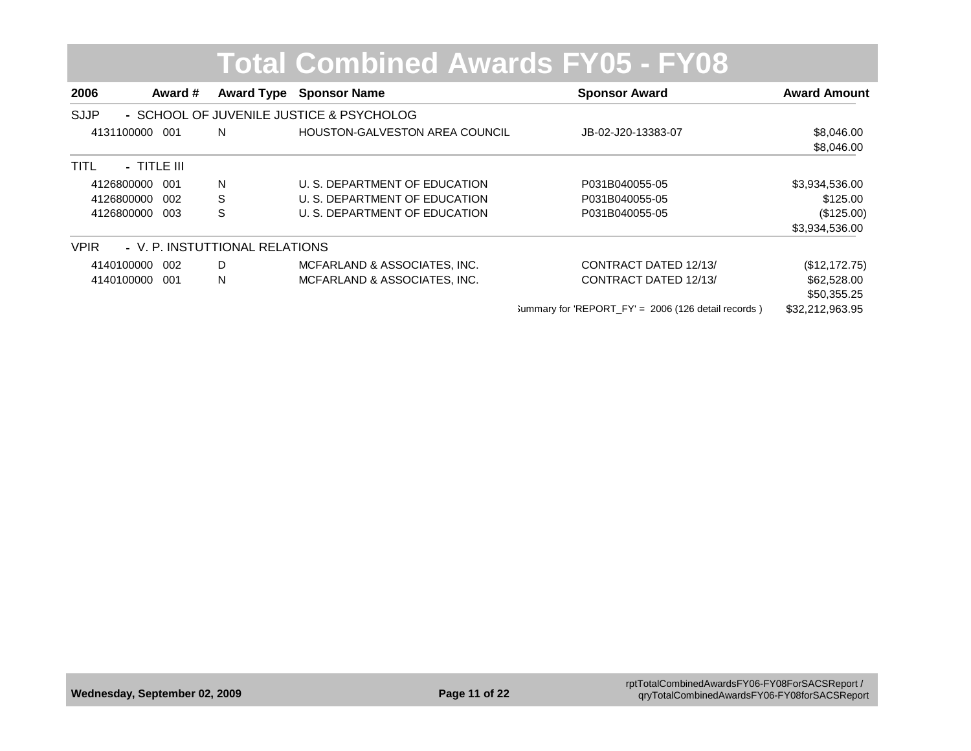| 2006        | Award #       |                                | <b>Award Type Sponsor Name</b>           | <b>Sponsor Award</b>                                  | <b>Award Amount</b> |
|-------------|---------------|--------------------------------|------------------------------------------|-------------------------------------------------------|---------------------|
| <b>SJJP</b> |               |                                | - SCHOOL OF JUVENILE JUSTICE & PSYCHOLOG |                                                       |                     |
| 4131100000  | 001           | N                              | <b>HOUSTON-GALVESTON AREA COUNCIL</b>    | JB-02-J20-13383-07                                    | \$8,046.00          |
|             |               |                                |                                          |                                                       | \$8,046.00          |
| <b>TITL</b> | $-$ TITLE III |                                |                                          |                                                       |                     |
| 4126800000  | 001           | N                              | U. S. DEPARTMENT OF EDUCATION            | P031B040055-05                                        | \$3,934,536.00      |
| 4126800000  | -002          | S                              | U. S. DEPARTMENT OF EDUCATION            | P031B040055-05                                        | \$125.00            |
| 4126800000  | 003           | S                              | U. S. DEPARTMENT OF EDUCATION            | P031B040055-05                                        | (\$125.00)          |
|             |               |                                |                                          |                                                       | \$3,934,536.00      |
| <b>VPIR</b> |               | - V. P. INSTUTTIONAL RELATIONS |                                          |                                                       |                     |
| 4140100000  | 002           | D                              | MCFARLAND & ASSOCIATES, INC.             | CONTRACT DATED 12/13/                                 | (\$12,172.75)       |
| 4140100000  | -001          | N                              | MCFARLAND & ASSOCIATES, INC.             | CONTRACT DATED 12/13/                                 | \$62,528.00         |
|             |               |                                |                                          |                                                       | \$50,355.25         |
|             |               |                                |                                          | Summary for 'REPORT $FY' = 2006$ (126 detail records) | \$32,212,963.95     |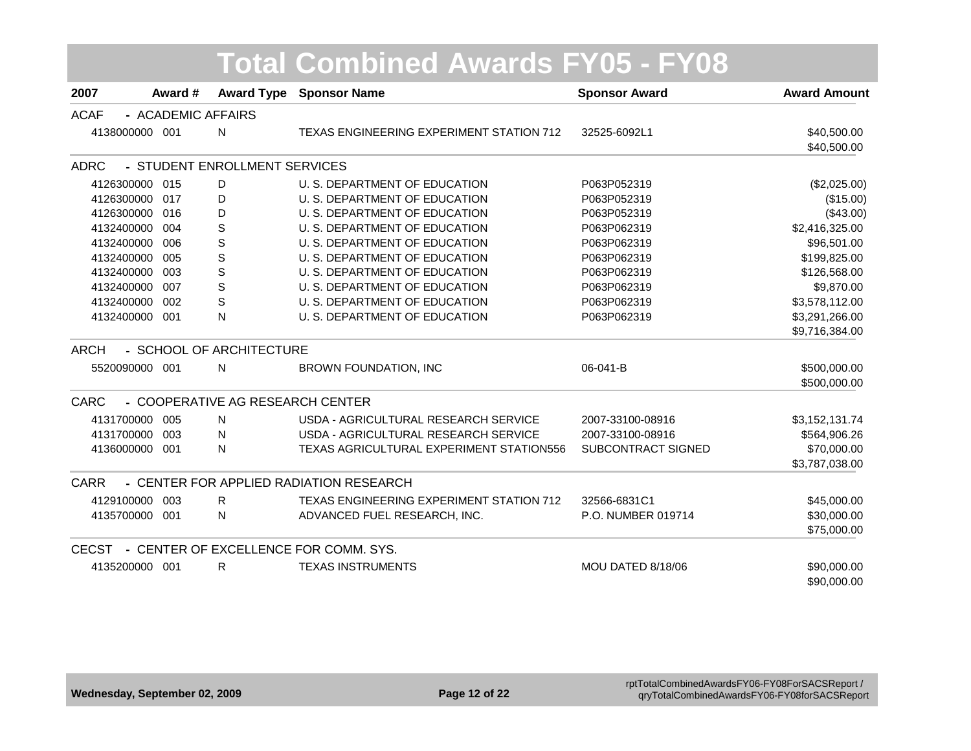| 2007           | Award #            | <b>Award Type</b>                | <u> Total Combined Awards FY05 - FY08</u><br><b>Sponsor Name</b> | <b>Sponsor Award</b> | <b>Award Amount</b>              |
|----------------|--------------------|----------------------------------|------------------------------------------------------------------|----------------------|----------------------------------|
| <b>ACAF</b>    | - ACADEMIC AFFAIRS |                                  |                                                                  |                      |                                  |
| 4138000000 001 |                    | $\mathsf{N}$                     | TEXAS ENGINEERING EXPERIMENT STATION 712                         | 32525-6092L1         | \$40,500.00<br>\$40,500.00       |
| <b>ADRC</b>    |                    | - STUDENT ENROLLMENT SERVICES    |                                                                  |                      |                                  |
| 4126300000 015 |                    | D                                | U. S. DEPARTMENT OF EDUCATION                                    | P063P052319          | (\$2,025.00)                     |
| 4126300000 017 |                    | D                                | U. S. DEPARTMENT OF EDUCATION                                    | P063P052319          | (\$15.00)                        |
| 4126300000 016 |                    | D                                | U. S. DEPARTMENT OF EDUCATION                                    | P063P052319          | (\$43.00)                        |
| 4132400000 004 |                    | S                                | U. S. DEPARTMENT OF EDUCATION                                    | P063P062319          | \$2,416,325.00                   |
| 4132400000     | 006                | S                                | U. S. DEPARTMENT OF EDUCATION                                    | P063P062319          | \$96,501.00                      |
| 4132400000     | 005                | $\mathbb S$                      | U. S. DEPARTMENT OF EDUCATION                                    | P063P062319          | \$199,825.00                     |
| 4132400000     | 003                | $\mathbb S$                      | U. S. DEPARTMENT OF EDUCATION                                    | P063P062319          | \$126,568.00                     |
| 4132400000     | 007                | $\mathbf S$                      | U. S. DEPARTMENT OF EDUCATION                                    | P063P062319          | \$9,870.00                       |
| 4132400000     | 002                | S                                | U. S. DEPARTMENT OF EDUCATION                                    | P063P062319          | \$3,578,112.00                   |
| 4132400000 001 |                    | N                                | U. S. DEPARTMENT OF EDUCATION                                    | P063P062319          | \$3,291,266.00<br>\$9,716,384.00 |
| <b>ARCH</b>    |                    | - SCHOOL OF ARCHITECTURE         |                                                                  |                      |                                  |
| 5520090000 001 |                    | N                                | BROWN FOUNDATION, INC                                            | 06-041-B             | \$500,000.00<br>\$500,000.00     |
| <b>CARC</b>    |                    | - COOPERATIVE AG RESEARCH CENTER |                                                                  |                      |                                  |
| 4131700000 005 |                    | N                                | USDA - AGRICULTURAL RESEARCH SERVICE                             | 2007-33100-08916     | \$3,152,131.74                   |
| 4131700000 003 |                    | N                                | USDA - AGRICULTURAL RESEARCH SERVICE                             | 2007-33100-08916     | \$564,906.26                     |
| 4136000000 001 |                    | N                                | TEXAS AGRICULTURAL EXPERIMENT STATION556                         | SUBCONTRACT SIGNED   | \$70,000.00                      |
|                |                    |                                  |                                                                  |                      | \$3,787,038.00                   |
| CARR           |                    |                                  | - CENTER FOR APPLIED RADIATION RESEARCH                          |                      |                                  |
| 4129100000     | 003                | R.                               | TEXAS ENGINEERING EXPERIMENT STATION 712                         | 32566-6831C1         | \$45,000.00                      |
| 4135700000 001 |                    | N                                | ADVANCED FUEL RESEARCH, INC.                                     | P.O. NUMBER 019714   | \$30,000.00                      |
|                |                    |                                  |                                                                  |                      | \$75,000.00                      |
|                |                    |                                  | CECST - CENTER OF EXCELLENCE FOR COMM. SYS.                      |                      |                                  |
| 4135200000 001 |                    | R                                | <b>TEXAS INSTRUMENTS</b>                                         | MOU DATED 8/18/06    | \$90,000.00<br>\$90,000.00       |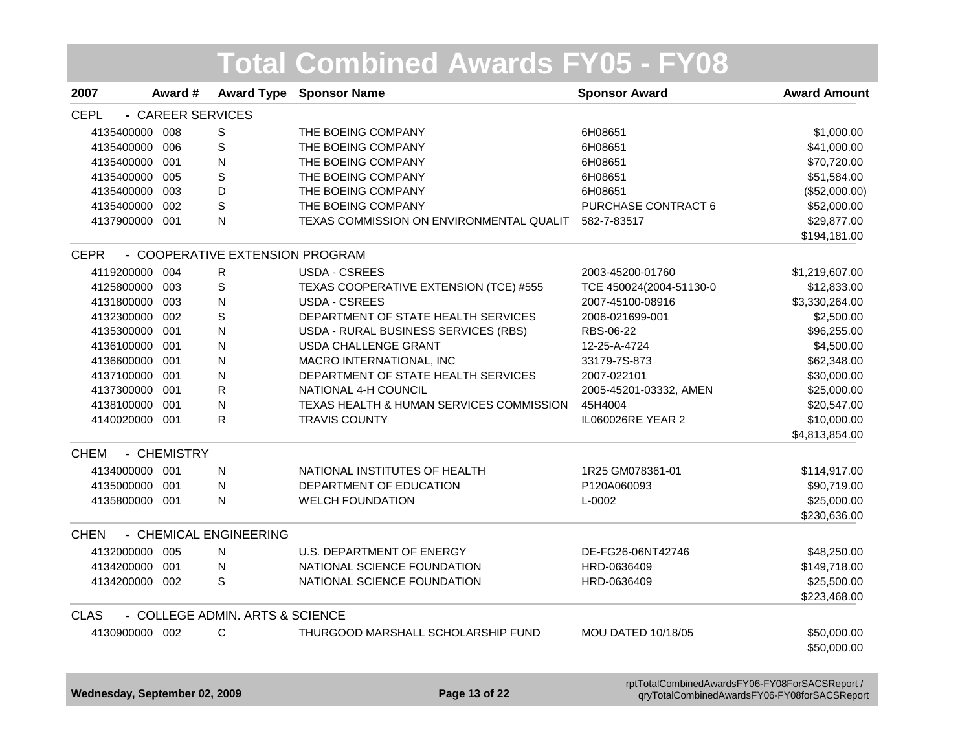| <b>CEPL</b><br>- CAREER SERVICES<br>4135400000 008<br>S<br>THE BOEING COMPANY<br>6H08651<br>S<br>THE BOEING COMPANY<br>4135400000 006<br>6H08651<br>${\sf N}$<br>4135400000 001<br>THE BOEING COMPANY<br>6H08651<br>S<br>4135400000 005<br>THE BOEING COMPANY<br>6H08651<br>D<br>THE BOEING COMPANY<br>4135400000 003<br>6H08651<br>S<br>THE BOEING COMPANY<br>4135400000 002<br>PURCHASE CONTRACT 6<br>$\mathsf{N}$<br>TEXAS COMMISSION ON ENVIRONMENTAL QUALIT 582-7-83517<br>4137900000 001 | \$1,000.00<br>\$41,000.00<br>\$70,720.00<br>\$51,584.00<br>(\$52,000.00)<br>\$52,000.00<br>\$29,877.00<br>\$194,181.00<br>\$1,219,607.00<br>\$12,833.00<br>\$3,330,264.00 |
|------------------------------------------------------------------------------------------------------------------------------------------------------------------------------------------------------------------------------------------------------------------------------------------------------------------------------------------------------------------------------------------------------------------------------------------------------------------------------------------------|---------------------------------------------------------------------------------------------------------------------------------------------------------------------------|
|                                                                                                                                                                                                                                                                                                                                                                                                                                                                                                |                                                                                                                                                                           |
|                                                                                                                                                                                                                                                                                                                                                                                                                                                                                                |                                                                                                                                                                           |
|                                                                                                                                                                                                                                                                                                                                                                                                                                                                                                |                                                                                                                                                                           |
|                                                                                                                                                                                                                                                                                                                                                                                                                                                                                                |                                                                                                                                                                           |
|                                                                                                                                                                                                                                                                                                                                                                                                                                                                                                |                                                                                                                                                                           |
|                                                                                                                                                                                                                                                                                                                                                                                                                                                                                                |                                                                                                                                                                           |
|                                                                                                                                                                                                                                                                                                                                                                                                                                                                                                |                                                                                                                                                                           |
|                                                                                                                                                                                                                                                                                                                                                                                                                                                                                                |                                                                                                                                                                           |
|                                                                                                                                                                                                                                                                                                                                                                                                                                                                                                |                                                                                                                                                                           |
| - COOPERATIVE EXTENSION PROGRAM<br><b>CEPR</b>                                                                                                                                                                                                                                                                                                                                                                                                                                                 |                                                                                                                                                                           |
| 4119200000 004<br>R<br><b>USDA - CSREES</b><br>2003-45200-01760                                                                                                                                                                                                                                                                                                                                                                                                                                |                                                                                                                                                                           |
| S<br>TEXAS COOPERATIVE EXTENSION (TCE) #555<br>4125800000 003<br>TCE 450024(2004-51130-0                                                                                                                                                                                                                                                                                                                                                                                                       |                                                                                                                                                                           |
| ${\sf N}$<br><b>USDA - CSREES</b><br>4131800000 003<br>2007-45100-08916                                                                                                                                                                                                                                                                                                                                                                                                                        |                                                                                                                                                                           |
| S<br>DEPARTMENT OF STATE HEALTH SERVICES<br>4132300000 002<br>2006-021699-001                                                                                                                                                                                                                                                                                                                                                                                                                  | \$2,500.00                                                                                                                                                                |
| ${\sf N}$<br>4135300000 001<br>USDA - RURAL BUSINESS SERVICES (RBS)<br>RBS-06-22                                                                                                                                                                                                                                                                                                                                                                                                               | \$96,255.00                                                                                                                                                               |
| ${\sf N}$<br><b>USDA CHALLENGE GRANT</b><br>4136100000 001<br>12-25-A-4724                                                                                                                                                                                                                                                                                                                                                                                                                     | \$4,500.00                                                                                                                                                                |
| 4136600000 001<br>${\sf N}$<br>MACRO INTERNATIONAL, INC<br>33179-7S-873                                                                                                                                                                                                                                                                                                                                                                                                                        | \$62,348.00                                                                                                                                                               |
| ${\sf N}$<br>4137100000 001<br>DEPARTMENT OF STATE HEALTH SERVICES<br>2007-022101                                                                                                                                                                                                                                                                                                                                                                                                              | \$30,000.00                                                                                                                                                               |
| R<br>NATIONAL 4-H COUNCIL<br>4137300000 001<br>2005-45201-03332, AMEN                                                                                                                                                                                                                                                                                                                                                                                                                          | \$25,000.00                                                                                                                                                               |
| TEXAS HEALTH & HUMAN SERVICES COMMISSION<br>4138100000 001<br>N<br>45H4004                                                                                                                                                                                                                                                                                                                                                                                                                     | \$20,547.00                                                                                                                                                               |
| R<br>IL060026RE YEAR 2<br>4140020000 001<br><b>TRAVIS COUNTY</b>                                                                                                                                                                                                                                                                                                                                                                                                                               | \$10,000.00                                                                                                                                                               |
|                                                                                                                                                                                                                                                                                                                                                                                                                                                                                                | \$4,813,854.00                                                                                                                                                            |
| <b>CHEM</b><br>- CHEMISTRY                                                                                                                                                                                                                                                                                                                                                                                                                                                                     |                                                                                                                                                                           |
| 4134000000 001<br>NATIONAL INSTITUTES OF HEALTH<br>N<br>1R25 GM078361-01                                                                                                                                                                                                                                                                                                                                                                                                                       | \$114,917.00                                                                                                                                                              |
| DEPARTMENT OF EDUCATION<br>4135000000 001<br>N<br>P120A060093                                                                                                                                                                                                                                                                                                                                                                                                                                  | \$90,719.00                                                                                                                                                               |
| N<br><b>WELCH FOUNDATION</b><br>4135800000 001<br>L-0002                                                                                                                                                                                                                                                                                                                                                                                                                                       | \$25,000.00                                                                                                                                                               |
|                                                                                                                                                                                                                                                                                                                                                                                                                                                                                                | \$230,636.00                                                                                                                                                              |
| - CHEMICAL ENGINEERING<br><b>CHEN</b>                                                                                                                                                                                                                                                                                                                                                                                                                                                          |                                                                                                                                                                           |
| <b>U.S. DEPARTMENT OF ENERGY</b><br>4132000000 005<br>$\mathsf{N}$<br>DE-FG26-06NT42746                                                                                                                                                                                                                                                                                                                                                                                                        | \$48,250.00                                                                                                                                                               |
| NATIONAL SCIENCE FOUNDATION<br>4134200000 001<br>${\sf N}$<br>HRD-0636409                                                                                                                                                                                                                                                                                                                                                                                                                      | \$149,718.00                                                                                                                                                              |
| S<br>NATIONAL SCIENCE FOUNDATION<br>4134200000 002<br>HRD-0636409                                                                                                                                                                                                                                                                                                                                                                                                                              | \$25,500.00                                                                                                                                                               |
|                                                                                                                                                                                                                                                                                                                                                                                                                                                                                                | \$223,468.00                                                                                                                                                              |
| <b>CLAS</b><br>- COLLEGE ADMIN. ARTS & SCIENCE                                                                                                                                                                                                                                                                                                                                                                                                                                                 |                                                                                                                                                                           |
| 4130900000 002<br>C<br>THURGOOD MARSHALL SCHOLARSHIP FUND<br><b>MOU DATED 10/18/05</b>                                                                                                                                                                                                                                                                                                                                                                                                         | \$50,000.00                                                                                                                                                               |
|                                                                                                                                                                                                                                                                                                                                                                                                                                                                                                | \$50,000.00                                                                                                                                                               |

**Wednesday, September 02, 2009 Page 13 of 22** rptTotalCombinedAwardsFY06-FY08ForSACSReport / qryTotalCombinedAwardsFY06-FY08forSACSReport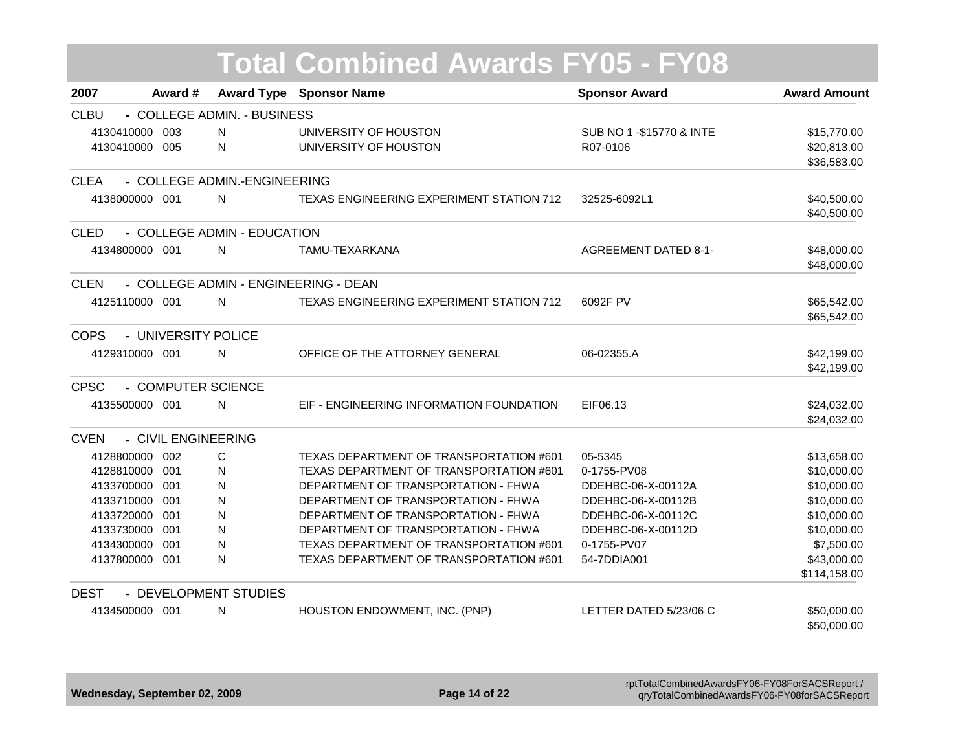|                |                     |                              | <b>Total Combined Awards FY05 - FY08</b> |                             |                     |
|----------------|---------------------|------------------------------|------------------------------------------|-----------------------------|---------------------|
| 2007           | Award #             |                              | <b>Award Type Sponsor Name</b>           | <b>Sponsor Award</b>        | <b>Award Amount</b> |
| <b>CLBU</b>    |                     | - COLLEGE ADMIN. - BUSINESS  |                                          |                             |                     |
| 4130410000 003 |                     | N                            | UNIVERSITY OF HOUSTON                    | SUB NO 1 - \$15770 & INTE   | \$15,770.00         |
| 4130410000 005 |                     | N                            | UNIVERSITY OF HOUSTON                    | R07-0106                    | \$20,813.00         |
|                |                     |                              |                                          |                             | \$36,583.00         |
| <b>CLEA</b>    |                     | - COLLEGE ADMIN.-ENGINEERING |                                          |                             |                     |
| 4138000000 001 |                     | N                            | TEXAS ENGINEERING EXPERIMENT STATION 712 | 32525-6092L1                | \$40,500.00         |
|                |                     |                              |                                          |                             | \$40,500.00         |
| <b>CLED</b>    |                     | - COLLEGE ADMIN - EDUCATION  |                                          |                             |                     |
| 4134800000 001 |                     | $\mathsf{N}$                 | TAMU-TEXARKANA                           | <b>AGREEMENT DATED 8-1-</b> | \$48,000.00         |
|                |                     |                              |                                          |                             | \$48,000.00         |
| <b>CLEN</b>    |                     |                              | - COLLEGE ADMIN - ENGINEERING - DEAN     |                             |                     |
| 4125110000 001 |                     | N                            | TEXAS ENGINEERING EXPERIMENT STATION 712 | 6092F PV                    | \$65,542.00         |
|                |                     |                              |                                          |                             | \$65,542.00         |
| <b>COPS</b>    | - UNIVERSITY POLICE |                              |                                          |                             |                     |
| 4129310000 001 |                     | N                            | OFFICE OF THE ATTORNEY GENERAL           | 06-02355.A                  | \$42,199.00         |
|                |                     |                              |                                          |                             | \$42,199.00         |
| <b>CPSC</b>    |                     | - COMPUTER SCIENCE           |                                          |                             |                     |
| 4135500000 001 |                     | N                            | EIF - ENGINEERING INFORMATION FOUNDATION | EIF06.13                    | \$24,032.00         |
|                |                     |                              |                                          |                             | \$24,032.00         |
| <b>CVEN</b>    | - CIVIL ENGINEERING |                              |                                          |                             |                     |
| 4128800000 002 |                     | C                            | TEXAS DEPARTMENT OF TRANSPORTATION #601  | 05-5345                     | \$13,658.00         |
| 4128810000 001 |                     | N                            | TEXAS DEPARTMENT OF TRANSPORTATION #601  | 0-1755-PV08                 | \$10,000.00         |
| 4133700000 001 |                     | N                            | DEPARTMENT OF TRANSPORTATION - FHWA      | DDEHBC-06-X-00112A          | \$10,000.00         |
| 4133710000 001 |                     | N                            | DEPARTMENT OF TRANSPORTATION - FHWA      | DDEHBC-06-X-00112B          | \$10,000.00         |
| 4133720000 001 |                     | N                            | DEPARTMENT OF TRANSPORTATION - FHWA      | DDEHBC-06-X-00112C          | \$10,000.00         |
| 4133730000 001 |                     | N                            | DEPARTMENT OF TRANSPORTATION - FHWA      | DDEHBC-06-X-00112D          | \$10,000.00         |
| 4134300000 001 |                     | N                            | TEXAS DEPARTMENT OF TRANSPORTATION #601  | 0-1755-PV07                 | \$7,500.00          |
| 4137800000 001 |                     | N                            | TEXAS DEPARTMENT OF TRANSPORTATION #601  | 54-7DDIA001                 | \$43,000.00         |
|                |                     |                              |                                          |                             | \$114,158.00        |
| <b>DEST</b>    |                     | - DEVELOPMENT STUDIES        |                                          |                             |                     |
| 4134500000 001 |                     | N                            | HOUSTON ENDOWMENT, INC. (PNP)            | LETTER DATED 5/23/06 C      | \$50,000.00         |
|                |                     |                              |                                          |                             | \$50,000.00         |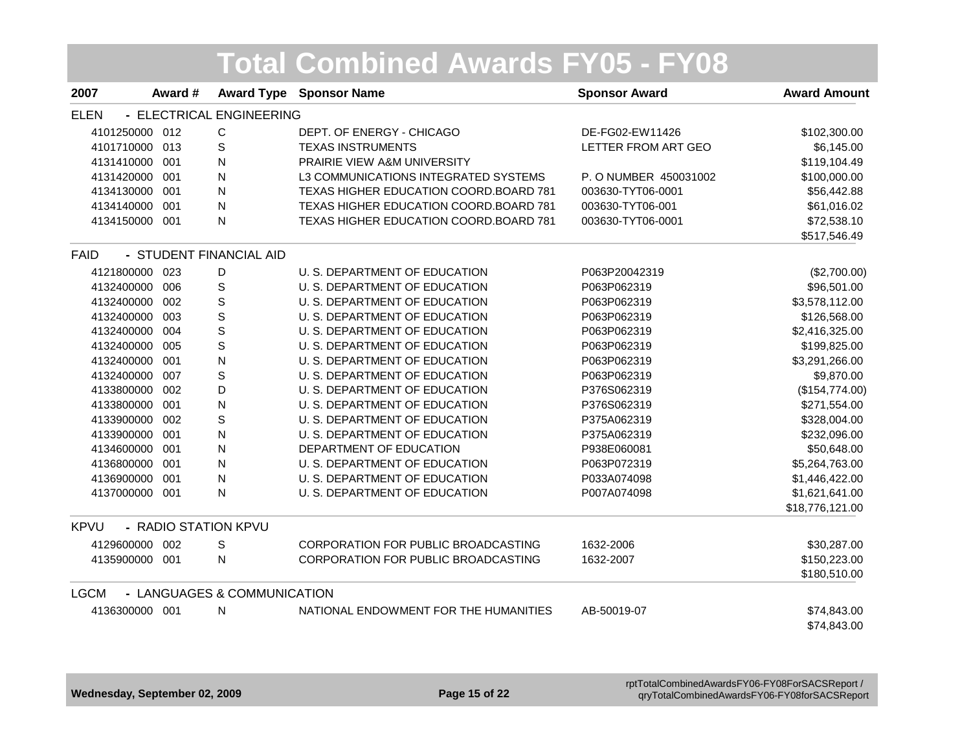|                |                      |                             | <b>Total Combined Awards FY05 - FY08</b> |                       |                     |
|----------------|----------------------|-----------------------------|------------------------------------------|-----------------------|---------------------|
| 2007           | Award #              |                             | <b>Award Type Sponsor Name</b>           | <b>Sponsor Award</b>  | <b>Award Amount</b> |
| <b>ELEN</b>    |                      | - ELECTRICAL ENGINEERING    |                                          |                       |                     |
| 4101250000 012 |                      | C                           | DEPT. OF ENERGY - CHICAGO                | DE-FG02-EW11426       | \$102,300.00        |
| 4101710000     | 013                  | $\mathbf S$                 | <b>TEXAS INSTRUMENTS</b>                 | LETTER FROM ART GEO   | \$6,145.00          |
| 4131410000     | 001                  | N                           | PRAIRIE VIEW A&M UNIVERSITY              |                       | \$119,104.49        |
| 4131420000 001 |                      | ${\sf N}$                   | L3 COMMUNICATIONS INTEGRATED SYSTEMS     | P. O NUMBER 450031002 | \$100,000.00        |
| 4134130000     | 001                  | ${\sf N}$                   | TEXAS HIGHER EDUCATION COORD.BOARD 781   | 003630-TYT06-0001     | \$56,442.88         |
| 4134140000     | 001                  | N                           | TEXAS HIGHER EDUCATION COORD.BOARD 781   | 003630-TYT06-001      | \$61,016.02         |
| 4134150000 001 |                      | N                           | TEXAS HIGHER EDUCATION COORD.BOARD 781   | 003630-TYT06-0001     | \$72,538.10         |
|                |                      |                             |                                          |                       | \$517,546.49        |
| <b>FAID</b>    |                      | - STUDENT FINANCIAL AID     |                                          |                       |                     |
| 4121800000     | 023                  | D                           | U. S. DEPARTMENT OF EDUCATION            | P063P20042319         | (\$2,700.00)        |
| 4132400000     | 006                  | $\mathbf S$                 | U. S. DEPARTMENT OF EDUCATION            | P063P062319           | \$96,501.00         |
| 4132400000 002 |                      | $\mathbb S$                 | U. S. DEPARTMENT OF EDUCATION            | P063P062319           | \$3,578,112.00      |
| 4132400000     | 003                  | $\mathbf S$                 | U. S. DEPARTMENT OF EDUCATION            | P063P062319           | \$126,568.00        |
| 4132400000 004 |                      | $\mathbf S$                 | U. S. DEPARTMENT OF EDUCATION            | P063P062319           | \$2,416,325.00      |
| 4132400000 005 |                      | S                           | U. S. DEPARTMENT OF EDUCATION            | P063P062319           | \$199,825.00        |
| 4132400000     | 001                  | ${\sf N}$                   | U. S. DEPARTMENT OF EDUCATION            | P063P062319           | \$3,291,266.00      |
| 4132400000     | 007                  | $\mathbf S$                 | U. S. DEPARTMENT OF EDUCATION            | P063P062319           | \$9,870.00          |
| 4133800000     | 002                  | D                           | U. S. DEPARTMENT OF EDUCATION            | P376S062319           | (\$154,774.00)      |
| 4133800000     | 001                  | $\overline{\mathsf{N}}$     | U. S. DEPARTMENT OF EDUCATION            | P376S062319           | \$271,554.00        |
| 4133900000     | 002                  | S                           | U. S. DEPARTMENT OF EDUCATION            | P375A062319           | \$328,004.00        |
| 4133900000     | 001                  | ${\sf N}$                   | U. S. DEPARTMENT OF EDUCATION            | P375A062319           | \$232,096.00        |
| 4134600000 001 |                      | N                           | DEPARTMENT OF EDUCATION                  | P938E060081           | \$50,648.00         |
| 4136800000 001 |                      | ${\sf N}$                   | U. S. DEPARTMENT OF EDUCATION            | P063P072319           | \$5,264,763.00      |
| 4136900000     | 001                  | ${\sf N}$                   | U. S. DEPARTMENT OF EDUCATION            | P033A074098           | \$1,446,422.00      |
| 4137000000 001 |                      | N                           | U. S. DEPARTMENT OF EDUCATION            | P007A074098           | \$1,621,641.00      |
|                |                      |                             |                                          |                       | \$18,776,121.00     |
| <b>KPVU</b>    | - RADIO STATION KPVU |                             |                                          |                       |                     |
| 4129600000     | 002                  | $\mathsf S$                 | CORPORATION FOR PUBLIC BROADCASTING      | 1632-2006             | \$30,287.00         |
| 4135900000 001 |                      | N                           | CORPORATION FOR PUBLIC BROADCASTING      | 1632-2007             | \$150,223.00        |
|                |                      |                             |                                          |                       | \$180,510.00        |
| <b>LGCM</b>    |                      | - LANGUAGES & COMMUNICATION |                                          |                       |                     |
| 4136300000 001 |                      | N                           | NATIONAL ENDOWMENT FOR THE HUMANITIES    | AB-50019-07           | \$74,843.00         |
|                |                      |                             |                                          |                       | \$74,843.00         |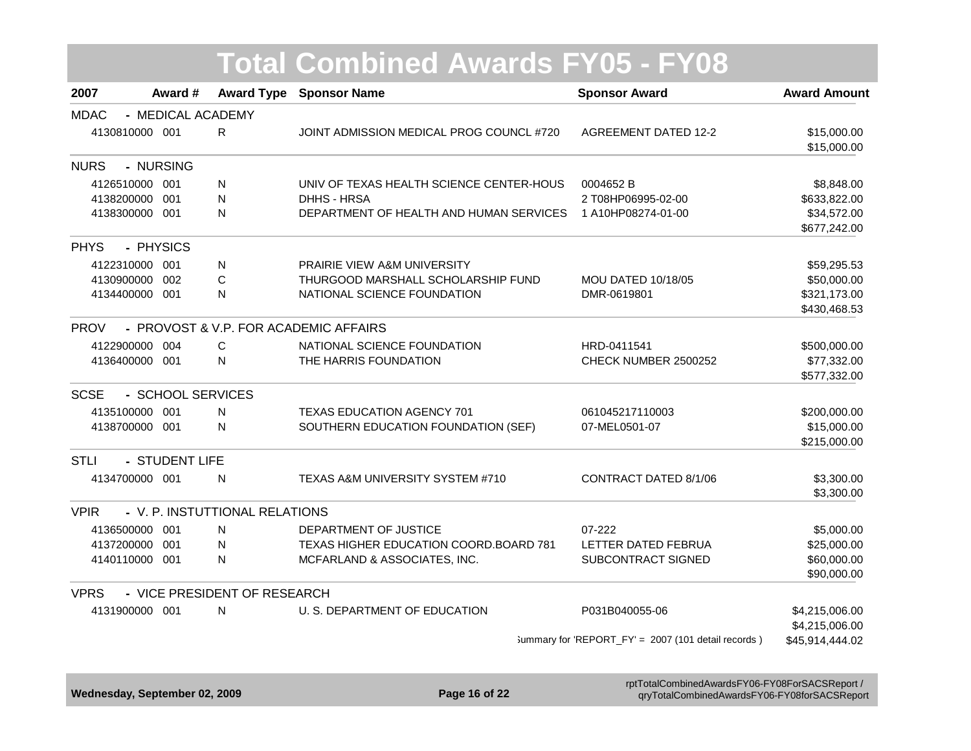| 2007                           | Award #           |                                | <b>Award Type Sponsor Name</b>           | <b>Sponsor Award</b>                                | <b>Award Amount</b>         |
|--------------------------------|-------------------|--------------------------------|------------------------------------------|-----------------------------------------------------|-----------------------------|
| <b>MDAC</b>                    | - MEDICAL ACADEMY |                                |                                          |                                                     |                             |
| 4130810000 001                 |                   | R                              | JOINT ADMISSION MEDICAL PROG COUNCL #720 | <b>AGREEMENT DATED 12-2</b>                         | \$15,000.00<br>\$15,000.00  |
| <b>NURS</b>                    | - NURSING         |                                |                                          |                                                     |                             |
| 4126510000 001                 |                   | N                              | UNIV OF TEXAS HEALTH SCIENCE CENTER-HOUS | 0004652B                                            | \$8,848.00                  |
| 4138200000 001                 |                   | $\mathsf{N}$                   | <b>DHHS - HRSA</b>                       | 2 T08HP06995-02-00                                  | \$633,822.00                |
| 4138300000 001                 |                   | $\mathsf{N}$                   | DEPARTMENT OF HEALTH AND HUMAN SERVICES  | 1 A10HP08274-01-00                                  | \$34,572.00<br>\$677,242.00 |
| <b>PHYS</b>                    | - PHYSICS         |                                |                                          |                                                     |                             |
| 4122310000 001                 |                   | ${\sf N}$                      | PRAIRIE VIEW A&M UNIVERSITY              |                                                     | \$59,295.53                 |
| 4130900000 002                 |                   | $\mathsf C$                    | THURGOOD MARSHALL SCHOLARSHIP FUND       | <b>MOU DATED 10/18/05</b>                           | \$50,000.00                 |
| 4134400000 001                 |                   | ${\sf N}$                      | NATIONAL SCIENCE FOUNDATION              | DMR-0619801                                         | \$321,173.00                |
|                                |                   |                                |                                          |                                                     | \$430,468.53                |
| <b>PROV</b>                    |                   |                                | - PROVOST & V.P. FOR ACADEMIC AFFAIRS    |                                                     |                             |
| 4122900000 004                 |                   | C                              | NATIONAL SCIENCE FOUNDATION              | HRD-0411541                                         | \$500,000.00                |
| 4136400000 001<br>$\mathsf{N}$ |                   | THE HARRIS FOUNDATION          | CHECK NUMBER 2500252                     | \$77,332.00                                         |                             |
|                                |                   |                                |                                          |                                                     | \$577,332.00                |
| <b>SCSE</b>                    | - SCHOOL SERVICES |                                |                                          |                                                     |                             |
| 4135100000 001                 |                   | N                              | <b>TEXAS EDUCATION AGENCY 701</b>        | 061045217110003                                     | \$200,000.00                |
| 4138700000 001                 |                   | ${\sf N}$                      | SOUTHERN EDUCATION FOUNDATION (SEF)      | 07-MEL0501-07                                       | \$15,000.00                 |
|                                |                   |                                |                                          |                                                     | \$215,000.00                |
| <b>STLI</b>                    | - STUDENT LIFE    |                                |                                          |                                                     |                             |
| 4134700000 001                 |                   | N                              | TEXAS A&M UNIVERSITY SYSTEM #710         | CONTRACT DATED 8/1/06                               | \$3,300.00                  |
|                                |                   |                                |                                          |                                                     | \$3,300.00                  |
| <b>VPIR</b>                    |                   | - V. P. INSTUTTIONAL RELATIONS |                                          |                                                     |                             |
| 4136500000 001                 |                   | N                              | DEPARTMENT OF JUSTICE                    | 07-222                                              | \$5,000.00                  |
| 4137200000 001                 |                   | N                              | TEXAS HIGHER EDUCATION COORD.BOARD 781   | LETTER DATED FEBRUA                                 | \$25,000.00                 |
| 4140110000 001                 |                   | $\mathsf{N}$                   | MCFARLAND & ASSOCIATES, INC.             | SUBCONTRACT SIGNED                                  | \$60,000.00                 |
|                                |                   |                                |                                          |                                                     | \$90,000.00                 |
| <b>VPRS</b>                    |                   | - VICE PRESIDENT OF RESEARCH   |                                          |                                                     |                             |
| 4131900000 001                 |                   | N                              | U. S. DEPARTMENT OF EDUCATION            | P031B040055-06                                      | \$4,215,006.00              |
|                                |                   |                                |                                          |                                                     | \$4,215,006.00              |
|                                |                   |                                |                                          | Summary for 'REPORT_FY' = 2007 (101 detail records) | \$45,914,444.02             |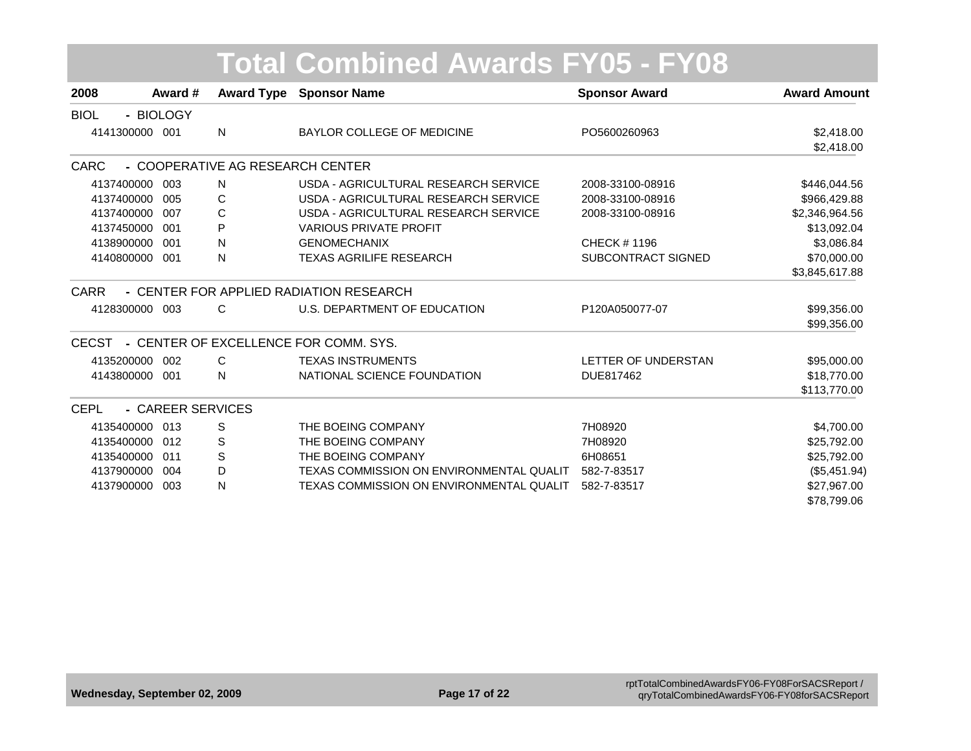|                |                   |                                  | <b>Total Combined Awards FY05 - FY08</b> |                           |                          |
|----------------|-------------------|----------------------------------|------------------------------------------|---------------------------|--------------------------|
| 2008           | Award #           |                                  | <b>Award Type Sponsor Name</b>           | <b>Sponsor Award</b>      | <b>Award Amount</b>      |
| <b>BIOL</b>    | - BIOLOGY         |                                  |                                          |                           |                          |
| 4141300000 001 |                   | N                                | <b>BAYLOR COLLEGE OF MEDICINE</b>        | PO5600260963              | \$2,418.00<br>\$2,418.00 |
| CARC           |                   | - COOPERATIVE AG RESEARCH CENTER |                                          |                           |                          |
| 4137400000     | 003               | N                                | USDA - AGRICULTURAL RESEARCH SERVICE     | 2008-33100-08916          | \$446,044.56             |
| 4137400000     | 005               | C                                | USDA - AGRICULTURAL RESEARCH SERVICE     | 2008-33100-08916          | \$966,429.88             |
| 4137400000     | 007               | C                                | USDA - AGRICULTURAL RESEARCH SERVICE     | 2008-33100-08916          | \$2,346,964.56           |
| 4137450000     | 001               | P                                | <b>VARIOUS PRIVATE PROFIT</b>            |                           | \$13,092.04              |
| 4138900000     | 001               | N                                | <b>GENOMECHANIX</b>                      | CHECK # 1196              | \$3,086.84               |
| 4140800000     | 001               | N                                | <b>TEXAS AGRILIFE RESEARCH</b>           | <b>SUBCONTRACT SIGNED</b> | \$70,000.00              |
|                |                   |                                  |                                          |                           | \$3,845,617.88           |
| <b>CARR</b>    |                   |                                  | - CENTER FOR APPLIED RADIATION RESEARCH  |                           |                          |
| 4128300000 003 |                   | C                                | U.S. DEPARTMENT OF EDUCATION             | P120A050077-07            | \$99,356.00              |
|                |                   |                                  |                                          |                           | \$99,356.00              |
| <b>CECST</b>   |                   |                                  | - CENTER OF EXCELLENCE FOR COMM. SYS.    |                           |                          |
| 4135200000     | 002               | $\mathsf{C}$                     | <b>TEXAS INSTRUMENTS</b>                 | LETTER OF UNDERSTAN       | \$95,000.00              |
| 4143800000     | 001               | N                                | NATIONAL SCIENCE FOUNDATION              | DUE817462                 | \$18,770.00              |
|                |                   |                                  |                                          |                           | \$113,770.00             |
| <b>CEPL</b>    | - CAREER SERVICES |                                  |                                          |                           |                          |
| 4135400000     | 013               | S                                | THE BOEING COMPANY                       | 7H08920                   | \$4,700.00               |
| 4135400000     | 012               | S                                | THE BOEING COMPANY                       | 7H08920                   | \$25,792.00              |
| 4135400000     | 011               | S                                | THE BOEING COMPANY                       | 6H08651                   | \$25,792.00              |
| 4137900000     | 004               | D                                | TEXAS COMMISSION ON ENVIRONMENTAL QUALIT | 582-7-83517               | (\$5,451.94)             |
| 4137900000     | 003               | N                                | TEXAS COMMISSION ON ENVIRONMENTAL QUALIT | 582-7-83517               | \$27,967.00              |
|                |                   |                                  |                                          |                           | \$78,799.06              |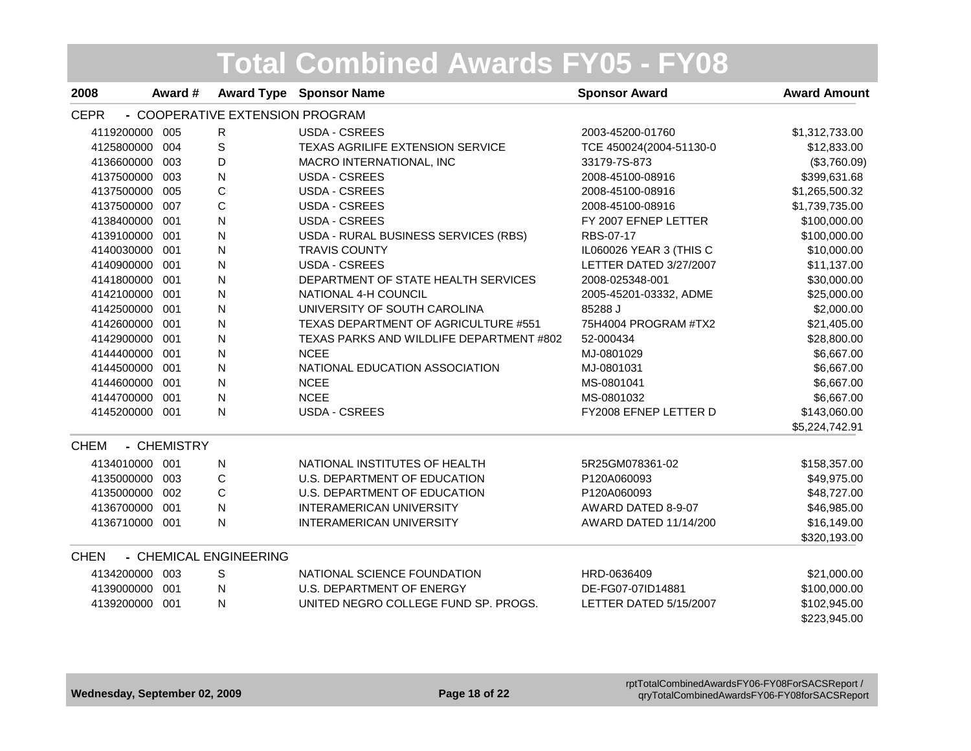| 2008           | Award #     |                                 | <b>Award Type Sponsor Name</b>           | <b>Sponsor Award</b>    | <b>Award Amount</b> |
|----------------|-------------|---------------------------------|------------------------------------------|-------------------------|---------------------|
| <b>CEPR</b>    |             | - COOPERATIVE EXTENSION PROGRAM |                                          |                         |                     |
| 4119200000 005 |             | R                               | USDA - CSREES                            | 2003-45200-01760        | \$1,312,733.00      |
| 4125800000 004 |             | S                               | TEXAS AGRILIFE EXTENSION SERVICE         | TCE 450024(2004-51130-0 | \$12,833.00         |
| 4136600000 003 |             | D                               | MACRO INTERNATIONAL, INC                 | 33179-7S-873            | (\$3,760.09)        |
| 4137500000 003 |             | N                               | USDA - CSREES                            | 2008-45100-08916        | \$399,631.68        |
| 4137500000 005 |             | C                               | <b>USDA - CSREES</b>                     | 2008-45100-08916        | \$1,265,500.32      |
| 4137500000 007 |             | C                               | USDA - CSREES                            | 2008-45100-08916        | \$1,739,735.00      |
| 4138400000 001 |             | N                               | <b>USDA - CSREES</b>                     | FY 2007 EFNEP LETTER    | \$100,000.00        |
| 4139100000 001 |             | N                               | USDA - RURAL BUSINESS SERVICES (RBS)     | RBS-07-17               | \$100,000.00        |
| 4140030000 001 |             | N                               | <b>TRAVIS COUNTY</b>                     | IL060026 YEAR 3 (THIS C | \$10,000.00         |
| 4140900000 001 |             | N                               | <b>USDA - CSREES</b>                     | LETTER DATED 3/27/2007  | \$11,137.00         |
| 4141800000 001 |             | N                               | DEPARTMENT OF STATE HEALTH SERVICES      | 2008-025348-001         | \$30,000.00         |
| 4142100000 001 |             | N                               | NATIONAL 4-H COUNCIL                     | 2005-45201-03332, ADME  | \$25,000.00         |
| 4142500000 001 |             | N                               | UNIVERSITY OF SOUTH CAROLINA             | 85288 J                 | \$2,000.00          |
| 4142600000 001 |             | N                               | TEXAS DEPARTMENT OF AGRICULTURE #551     | 75H4004 PROGRAM #TX2    | \$21,405.00         |
| 4142900000 001 |             | N                               | TEXAS PARKS AND WILDLIFE DEPARTMENT #802 | 52-000434               | \$28,800.00         |
| 4144400000 001 |             | N                               | <b>NCEE</b>                              | MJ-0801029              | \$6,667.00          |
| 4144500000 001 |             | N                               | NATIONAL EDUCATION ASSOCIATION           | MJ-0801031              | \$6,667.00          |
| 4144600000 001 |             | N                               | <b>NCEE</b>                              | MS-0801041              | \$6,667.00          |
| 4144700000 001 |             | N                               | <b>NCEE</b>                              | MS-0801032              | \$6,667.00          |
| 4145200000 001 |             | ${\sf N}$                       | USDA - CSREES                            | FY2008 EFNEP LETTER D   | \$143,060.00        |
|                |             |                                 |                                          |                         | \$5,224,742.91      |
| <b>CHEM</b>    | - CHEMISTRY |                                 |                                          |                         |                     |
| 4134010000 001 |             | N                               | NATIONAL INSTITUTES OF HEALTH            | 5R25GM078361-02         | \$158,357.00        |
| 4135000000 003 |             | С                               | U.S. DEPARTMENT OF EDUCATION             | P120A060093             | \$49,975.00         |
| 4135000000 002 |             | C                               | U.S. DEPARTMENT OF EDUCATION             | P120A060093             | \$48,727.00         |
| 4136700000 001 |             | N                               | <b>INTERAMERICAN UNIVERSITY</b>          | AWARD DATED 8-9-07      | \$46,985.00         |
| 4136710000 001 |             | N                               | <b>INTERAMERICAN UNIVERSITY</b>          | AWARD DATED 11/14/200   | \$16,149.00         |
|                |             |                                 |                                          |                         | \$320,193.00        |
| <b>CHEN</b>    |             | - CHEMICAL ENGINEERING          |                                          |                         |                     |
| 4134200000 003 |             | S                               | NATIONAL SCIENCE FOUNDATION              | HRD-0636409             | \$21,000.00         |
| 4139000000 001 |             | ${\sf N}$                       | <b>U.S. DEPARTMENT OF ENERGY</b>         | DE-FG07-07ID14881       | \$100,000.00        |
| 4139200000 001 |             | N                               | UNITED NEGRO COLLEGE FUND SP. PROGS.     | LETTER DATED 5/15/2007  | \$102,945.00        |
|                |             |                                 |                                          |                         | \$223,945.00        |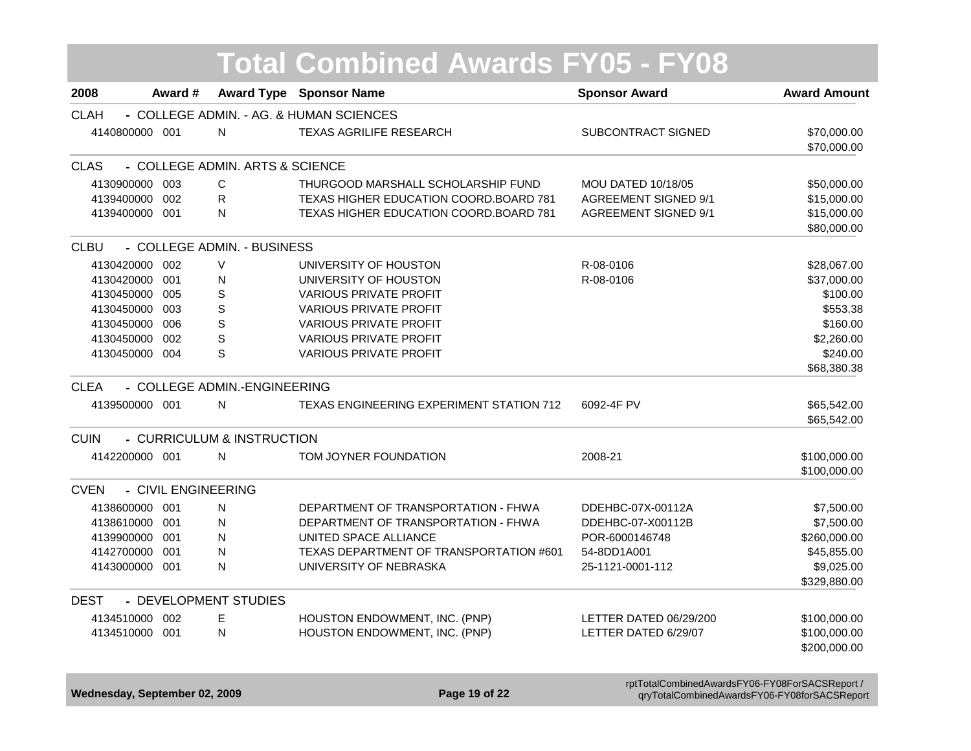|                |                     |                                 | <b>Total Combined Awards FY05 - FY08</b>        |                             |                            |
|----------------|---------------------|---------------------------------|-------------------------------------------------|-----------------------------|----------------------------|
| 2008           | Award #             |                                 | <b>Award Type Sponsor Name</b>                  | <b>Sponsor Award</b>        | <b>Award Amount</b>        |
| <b>CLAH</b>    |                     |                                 | - COLLEGE ADMIN. - AG. & HUMAN SCIENCES         |                             |                            |
| 4140800000 001 |                     | N                               | <b>TEXAS AGRILIFE RESEARCH</b>                  | <b>SUBCONTRACT SIGNED</b>   | \$70,000.00<br>\$70,000.00 |
| <b>CLAS</b>    |                     | - COLLEGE ADMIN. ARTS & SCIENCE |                                                 |                             |                            |
| 4130900000 003 |                     | С                               | THURGOOD MARSHALL SCHOLARSHIP FUND              | <b>MOU DATED 10/18/05</b>   | \$50,000.00                |
| 4139400000     | 002                 | $\mathsf{R}$                    | TEXAS HIGHER EDUCATION COORD.BOARD 781          | <b>AGREEMENT SIGNED 9/1</b> | \$15,000.00                |
| 4139400000 001 |                     | N                               | <b>TEXAS HIGHER EDUCATION COORD.BOARD 781</b>   | <b>AGREEMENT SIGNED 9/1</b> | \$15,000.00<br>\$80,000.00 |
| <b>CLBU</b>    |                     | - COLLEGE ADMIN. - BUSINESS     |                                                 |                             |                            |
| 4130420000 002 |                     | $\vee$                          | UNIVERSITY OF HOUSTON                           | R-08-0106                   | \$28,067.00                |
| 4130420000 001 |                     | Ν                               | UNIVERSITY OF HOUSTON                           | R-08-0106                   | \$37,000.00                |
| 4130450000 005 |                     | S                               | <b>VARIOUS PRIVATE PROFIT</b>                   |                             | \$100.00                   |
| 4130450000 003 |                     | $\mathbf S$                     | <b>VARIOUS PRIVATE PROFIT</b>                   |                             | \$553.38                   |
| 4130450000 006 |                     | $\mathbf S$                     | <b>VARIOUS PRIVATE PROFIT</b>                   |                             | \$160.00                   |
| 4130450000     | 002                 | S                               | <b>VARIOUS PRIVATE PROFIT</b>                   |                             | \$2,260.00                 |
| 4130450000 004 |                     | S                               | <b>VARIOUS PRIVATE PROFIT</b>                   |                             | \$240.00                   |
|                |                     |                                 |                                                 |                             | \$68,380.38                |
| <b>CLEA</b>    |                     | - COLLEGE ADMIN.-ENGINEERING    |                                                 |                             |                            |
| 4139500000 001 |                     | N                               | <b>TEXAS ENGINEERING EXPERIMENT STATION 712</b> | 6092-4F PV                  | \$65,542.00                |
|                |                     |                                 |                                                 |                             | \$65,542.00                |
| <b>CUIN</b>    |                     | - CURRICULUM & INSTRUCTION      |                                                 |                             |                            |
| 4142200000 001 |                     | N                               | TOM JOYNER FOUNDATION                           | 2008-21                     | \$100,000.00               |
|                |                     |                                 |                                                 |                             | \$100,000.00               |
| <b>CVEN</b>    | - CIVIL ENGINEERING |                                 |                                                 |                             |                            |
| 4138600000 001 |                     | N                               | DEPARTMENT OF TRANSPORTATION - FHWA             | DDEHBC-07X-00112A           | \$7,500.00                 |
| 4138610000 001 |                     | N                               | DEPARTMENT OF TRANSPORTATION - FHWA             | DDEHBC-07-X00112B           | \$7,500.00                 |
| 4139900000 001 |                     | N                               | UNITED SPACE ALLIANCE                           | POR-6000146748              | \$260,000.00               |
| 4142700000 001 |                     | N                               | TEXAS DEPARTMENT OF TRANSPORTATION #601         | 54-8DD1A001                 | \$45,855.00                |
| 4143000000 001 |                     | N                               | UNIVERSITY OF NEBRASKA                          | 25-1121-0001-112            | \$9,025.00                 |
|                |                     |                                 |                                                 |                             | \$329,880.00               |
| <b>DEST</b>    |                     | - DEVELOPMENT STUDIES           |                                                 |                             |                            |
| 4134510000 002 |                     | E                               | HOUSTON ENDOWMENT, INC. (PNP)                   | LETTER DATED 06/29/200      | \$100,000.00               |
| 4134510000 001 |                     | N                               | HOUSTON ENDOWMENT, INC. (PNP)                   | LETTER DATED 6/29/07        | \$100,000.00               |
|                |                     |                                 |                                                 |                             | \$200,000.00               |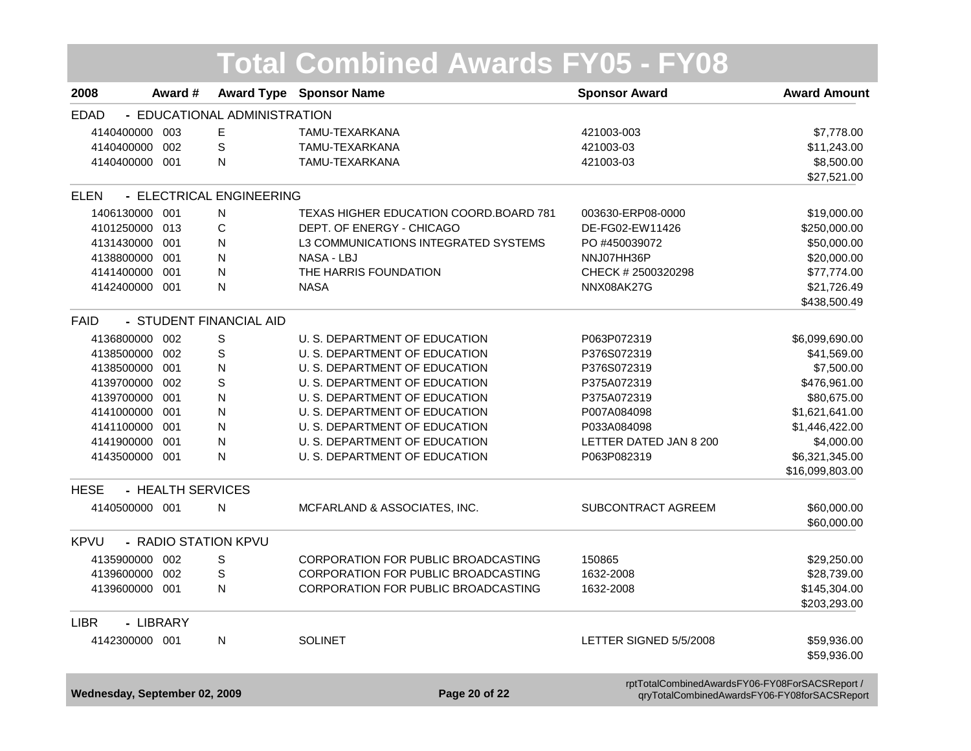|                               |                   |                              | <b>Total Combined Awards FY05 - FY08</b> |                                                                                                |                     |
|-------------------------------|-------------------|------------------------------|------------------------------------------|------------------------------------------------------------------------------------------------|---------------------|
| 2008                          | Award #           |                              | <b>Award Type Sponsor Name</b>           | <b>Sponsor Award</b>                                                                           | <b>Award Amount</b> |
| <b>EDAD</b>                   |                   | - EDUCATIONAL ADMINISTRATION |                                          |                                                                                                |                     |
| 4140400000                    | 003               | Е                            | TAMU-TEXARKANA                           | 421003-003                                                                                     | \$7,778.00          |
| 4140400000                    | 002               | S                            | TAMU-TEXARKANA                           | 421003-03                                                                                      | \$11,243.00         |
| 4140400000 001                |                   | Ν                            | TAMU-TEXARKANA                           | 421003-03                                                                                      | \$8,500.00          |
|                               |                   |                              |                                          |                                                                                                | \$27,521.00         |
| <b>ELEN</b>                   |                   | - ELECTRICAL ENGINEERING     |                                          |                                                                                                |                     |
| 1406130000                    | 001               | N                            | TEXAS HIGHER EDUCATION COORD.BOARD 781   | 003630-ERP08-0000                                                                              | \$19,000.00         |
| 4101250000                    | 013               | С                            | DEPT. OF ENERGY - CHICAGO                | DE-FG02-EW11426                                                                                | \$250,000.00        |
| 4131430000 001                |                   | N                            | L3 COMMUNICATIONS INTEGRATED SYSTEMS     | PO #450039072                                                                                  | \$50,000.00         |
| 4138800000                    | -001              | N                            | NASA - LBJ                               | NNJ07HH36P                                                                                     | \$20,000.00         |
| 4141400000                    | 001               | ${\sf N}$                    | THE HARRIS FOUNDATION                    | CHECK # 2500320298                                                                             | \$77,774.00         |
| 4142400000 001                |                   | N                            | <b>NASA</b>                              | NNX08AK27G                                                                                     | \$21,726.49         |
|                               |                   |                              |                                          |                                                                                                | \$438,500.49        |
| <b>FAID</b>                   |                   | - STUDENT FINANCIAL AID      |                                          |                                                                                                |                     |
| 4136800000                    | 002               | S                            | U. S. DEPARTMENT OF EDUCATION            | P063P072319                                                                                    | \$6,099,690.00      |
| 4138500000                    | 002               | S                            | U. S. DEPARTMENT OF EDUCATION            | P376S072319                                                                                    | \$41,569.00         |
| 4138500000                    | 001               | $\mathsf{N}$                 | U. S. DEPARTMENT OF EDUCATION            | P376S072319                                                                                    | \$7,500.00          |
| 4139700000                    | 002               | S                            | U. S. DEPARTMENT OF EDUCATION            | P375A072319                                                                                    | \$476,961.00        |
| 4139700000                    | 001               | $\mathsf{N}$                 | U. S. DEPARTMENT OF EDUCATION            | P375A072319                                                                                    | \$80,675.00         |
| 4141000000                    | 001               | N                            | U. S. DEPARTMENT OF EDUCATION            | P007A084098                                                                                    | \$1,621,641.00      |
| 4141100000                    | 001               | N                            | U. S. DEPARTMENT OF EDUCATION            | P033A084098                                                                                    | \$1,446,422.00      |
| 4141900000                    | 001               | N                            | U. S. DEPARTMENT OF EDUCATION            | LETTER DATED JAN 8 200                                                                         | \$4,000.00          |
| 4143500000 001                |                   | N                            | U. S. DEPARTMENT OF EDUCATION            | P063P082319                                                                                    | \$6,321,345.00      |
|                               |                   |                              |                                          |                                                                                                | \$16,099,803.00     |
| <b>HESE</b>                   | - HEALTH SERVICES |                              |                                          |                                                                                                |                     |
| 4140500000 001                |                   | N                            | MCFARLAND & ASSOCIATES, INC.             | SUBCONTRACT AGREEM                                                                             | \$60,000.00         |
|                               |                   |                              |                                          |                                                                                                | \$60,000.00         |
| <b>KPVU</b>                   |                   | - RADIO STATION KPVU         |                                          |                                                                                                |                     |
| 4135900000                    | 002               | S                            | CORPORATION FOR PUBLIC BROADCASTING      | 150865                                                                                         | \$29,250.00         |
| 4139600000                    | 002               | S                            | CORPORATION FOR PUBLIC BROADCASTING      | 1632-2008                                                                                      | \$28,739.00         |
| 4139600000                    | 001               | N                            | CORPORATION FOR PUBLIC BROADCASTING      | 1632-2008                                                                                      | \$145,304.00        |
|                               |                   |                              |                                          |                                                                                                | \$203,293.00        |
| <b>LIBR</b>                   | - LIBRARY         |                              |                                          |                                                                                                |                     |
| 4142300000 001                |                   | N                            | <b>SOLINET</b>                           | LETTER SIGNED 5/5/2008                                                                         | \$59,936.00         |
|                               |                   |                              |                                          |                                                                                                | \$59,936.00         |
| Wednesday, September 02, 2009 |                   |                              | Page 20 of 22                            | rptTotalCombinedAwardsFY06-FY08ForSACSReport /<br>qryTotalCombinedAwardsFY06-FY08forSACSReport |                     |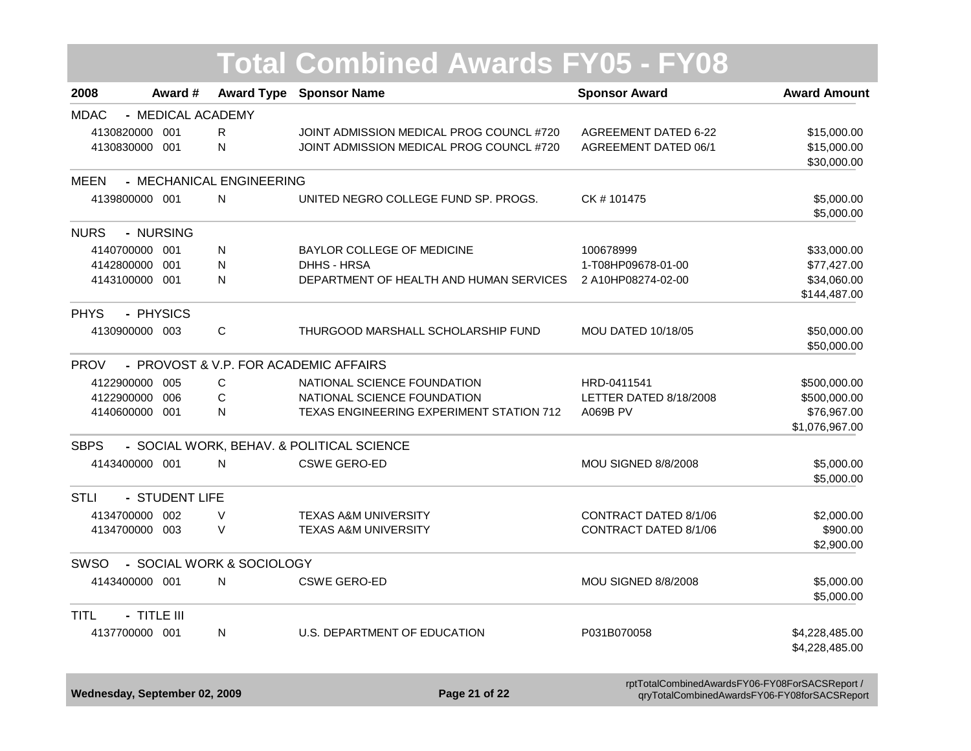|                            |                   |                           | <b>Total Combined Awards FY05 - FY08</b>  |                             |                             |
|----------------------------|-------------------|---------------------------|-------------------------------------------|-----------------------------|-----------------------------|
| 2008                       | Award #           | <b>Award Type</b>         | <b>Sponsor Name</b>                       | <b>Sponsor Award</b>        | <b>Award Amount</b>         |
| <b>MDAC</b>                | - MEDICAL ACADEMY |                           |                                           |                             |                             |
| 4130820000 001             |                   | R.                        | JOINT ADMISSION MEDICAL PROG COUNCL #720  | <b>AGREEMENT DATED 6-22</b> | \$15,000.00                 |
| 4130830000 001             |                   | N                         | JOINT ADMISSION MEDICAL PROG COUNCL #720  | <b>AGREEMENT DATED 06/1</b> | \$15,000.00                 |
|                            |                   |                           |                                           |                             | \$30,000.00                 |
| MEEN                       |                   | - MECHANICAL ENGINEERING  |                                           |                             |                             |
| 4139800000 001             |                   | N                         | UNITED NEGRO COLLEGE FUND SP. PROGS.      | CK #101475                  | \$5,000.00                  |
|                            |                   |                           |                                           |                             | \$5,000.00                  |
| <b>NURS</b>                | - NURSING         |                           |                                           |                             |                             |
| 4140700000 001             |                   | N                         | BAYLOR COLLEGE OF MEDICINE                | 100678999                   | \$33,000.00                 |
| 4142800000 001             |                   | N                         | DHHS - HRSA                               | 1-T08HP09678-01-00          | \$77,427.00                 |
| 4143100000 001             |                   | $\mathsf{N}$              | DEPARTMENT OF HEALTH AND HUMAN SERVICES   | 2 A10HP08274-02-00          | \$34,060.00<br>\$144,487.00 |
|                            |                   |                           |                                           |                             |                             |
| <b>PHYS</b><br>- PHYSICS   |                   |                           |                                           |                             |                             |
| 4130900000 003             |                   | C                         | THURGOOD MARSHALL SCHOLARSHIP FUND        | <b>MOU DATED 10/18/05</b>   | \$50,000.00<br>\$50,000.00  |
| <b>PROV</b>                |                   |                           | - PROVOST & V.P. FOR ACADEMIC AFFAIRS     |                             |                             |
| 4122900000 005             |                   | $\mathsf{C}$              | NATIONAL SCIENCE FOUNDATION               | HRD-0411541                 | \$500,000.00                |
| 4122900000 006             |                   | $\mathsf C$               | NATIONAL SCIENCE FOUNDATION               | LETTER DATED 8/18/2008      | \$500,000.00                |
| 4140600000 001             |                   | N                         | TEXAS ENGINEERING EXPERIMENT STATION 712  | <b>A069B PV</b>             | \$76,967.00                 |
|                            |                   |                           |                                           |                             | \$1,076,967.00              |
| <b>SBPS</b>                |                   |                           | - SOCIAL WORK, BEHAV. & POLITICAL SCIENCE |                             |                             |
| 4143400000 001             |                   | $\mathsf{N}$              | <b>CSWE GERO-ED</b>                       | <b>MOU SIGNED 8/8/2008</b>  | \$5,000.00                  |
|                            |                   |                           |                                           |                             | \$5,000.00                  |
| <b>STLI</b>                | - STUDENT LIFE    |                           |                                           |                             |                             |
| 4134700000 002             |                   | $\vee$                    | <b>TEXAS A&amp;M UNIVERSITY</b>           | CONTRACT DATED 8/1/06       | \$2,000.00                  |
| 4134700000 003             |                   | $\vee$                    | <b>TEXAS A&amp;M UNIVERSITY</b>           | CONTRACT DATED 8/1/06       | \$900.00                    |
|                            |                   |                           |                                           |                             | \$2,900.00                  |
| <b>SWSO</b>                |                   | - SOCIAL WORK & SOCIOLOGY |                                           |                             |                             |
| 4143400000 001             |                   | N                         | <b>CSWE GERO-ED</b>                       | <b>MOU SIGNED 8/8/2008</b>  | \$5,000.00                  |
|                            |                   |                           |                                           |                             | \$5,000.00                  |
| - TITLE III<br><b>TITL</b> |                   |                           |                                           |                             |                             |
| 4137700000 001             |                   | N                         | U.S. DEPARTMENT OF EDUCATION              | P031B070058                 | \$4,228,485.00              |
|                            |                   |                           |                                           |                             | \$4,228,485.00              |
|                            |                   |                           |                                           |                             |                             |

**/ Wednesday, September 02, 2009 Page 21 of 22** rptTotalCombinedAwardsFY06-FY08ForSACSReport /<br>Page 21 of 22 qryTotalCombinedAwardsFY06-FY08forSACSReport